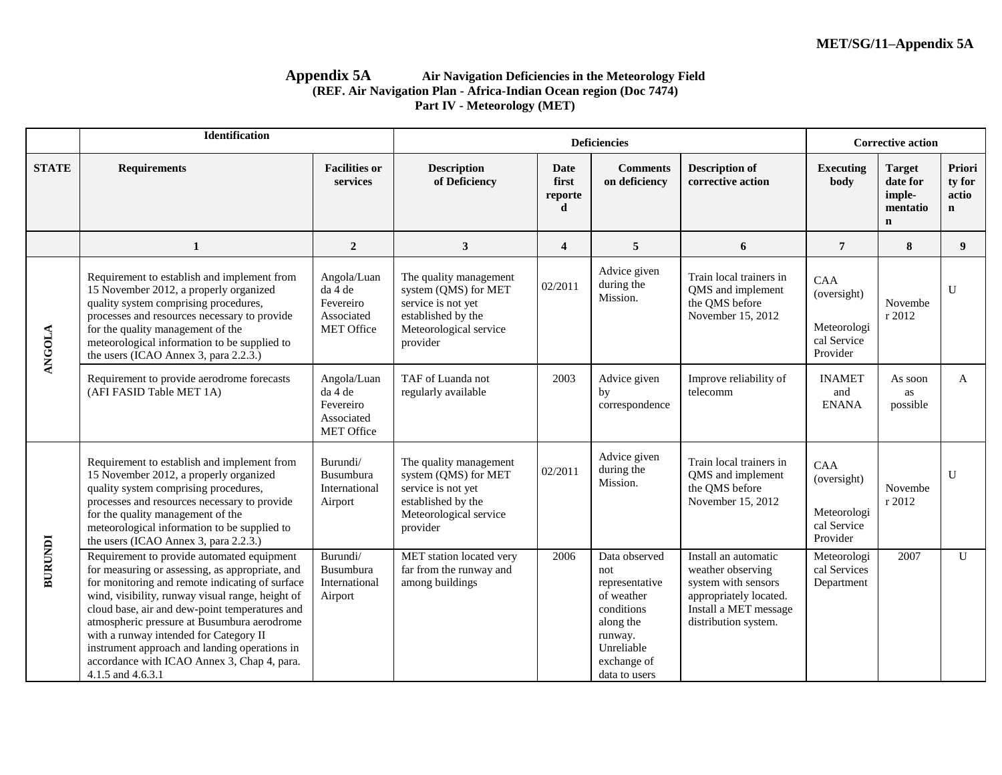### **Appendix 5A Air Navigation Deficiencies in the Meteorology Field (REF. Air Navigation Plan - Africa-Indian Ocean region (Doc 7474) Part IV - Meteorology (MET)**

|                | <b>Identification</b>                                                                                                                                                                                                                                                                                                                                                                                                                                                |                                                                        |                                                                                                                                  |                               | <b>Deficiencies</b>                                                                                                                      |                                                                                                                                             | <b>Corrective action</b>                                     |                                                                |                                          |
|----------------|----------------------------------------------------------------------------------------------------------------------------------------------------------------------------------------------------------------------------------------------------------------------------------------------------------------------------------------------------------------------------------------------------------------------------------------------------------------------|------------------------------------------------------------------------|----------------------------------------------------------------------------------------------------------------------------------|-------------------------------|------------------------------------------------------------------------------------------------------------------------------------------|---------------------------------------------------------------------------------------------------------------------------------------------|--------------------------------------------------------------|----------------------------------------------------------------|------------------------------------------|
| <b>STATE</b>   | <b>Requirements</b>                                                                                                                                                                                                                                                                                                                                                                                                                                                  | <b>Facilities or</b><br>services                                       | <b>Description</b><br>of Deficiency                                                                                              | Date<br>first<br>reporte<br>d | <b>Comments</b><br>on deficiency                                                                                                         | <b>Description of</b><br>corrective action                                                                                                  | <b>Executing</b><br>body                                     | <b>Target</b><br>date for<br>imple-<br>mentatio<br>$\mathbf n$ | Priori<br>ty for<br>actio<br>$\mathbf n$ |
|                | 1                                                                                                                                                                                                                                                                                                                                                                                                                                                                    | $\boldsymbol{2}$                                                       | 3                                                                                                                                | $\overline{\mathbf{4}}$       | 5                                                                                                                                        | 6                                                                                                                                           | $7\phantom{.0}$                                              | 8                                                              | 9 <sup>°</sup>                           |
| <b>ANGOLA</b>  | Requirement to establish and implement from<br>15 November 2012, a properly organized<br>quality system comprising procedures,<br>processes and resources necessary to provide<br>for the quality management of the<br>meteorological information to be supplied to<br>the users (ICAO Annex 3, para 2.2.3.)                                                                                                                                                         | Angola/Luan<br>da 4 de<br>Fevereiro<br>Associated<br><b>MET Office</b> | The quality management<br>system (QMS) for MET<br>service is not yet<br>established by the<br>Meteorological service<br>provider | 02/2011                       | Advice given<br>during the<br>Mission.                                                                                                   | Train local trainers in<br>QMS and implement<br>the QMS before<br>November 15, 2012                                                         | CAA<br>(oversight)<br>Meteorologi<br>cal Service<br>Provider | Novembe<br>r 2012                                              | $\mathbf{U}$                             |
|                | Requirement to provide aerodrome forecasts<br>(AFI FASID Table MET 1A)                                                                                                                                                                                                                                                                                                                                                                                               | Angola/Luan<br>da 4 de<br>Fevereiro<br>Associated<br><b>MET Office</b> | TAF of Luanda not<br>regularly available                                                                                         | 2003                          | Advice given<br>by<br>correspondence                                                                                                     | Improve reliability of<br>telecomm                                                                                                          | <b>INAMET</b><br>and<br><b>ENANA</b>                         | As soon<br>as<br>possible                                      | A                                        |
|                | Requirement to establish and implement from<br>15 November 2012, a properly organized<br>quality system comprising procedures,<br>processes and resources necessary to provide<br>for the quality management of the<br>meteorological information to be supplied to<br>the users (ICAO Annex 3, para 2.2.3.)                                                                                                                                                         | Burundi/<br><b>Busumbura</b><br>International<br>Airport               | The quality management<br>system (QMS) for MET<br>service is not yet<br>established by the<br>Meteorological service<br>provider | 02/2011                       | Advice given<br>during the<br>Mission.                                                                                                   | Train local trainers in<br>QMS and implement<br>the QMS before<br>November 15, 2012                                                         | CAA<br>(oversight)<br>Meteorologi<br>cal Service<br>Provider | Novembe<br>r 2012                                              | $\mathbf{U}$                             |
| <b>BURUNDI</b> | Requirement to provide automated equipment<br>for measuring or assessing, as appropriate, and<br>for monitoring and remote indicating of surface<br>wind, visibility, runway visual range, height of<br>cloud base, air and dew-point temperatures and<br>atmospheric pressure at Busumbura aerodrome<br>with a runway intended for Category II<br>instrument approach and landing operations in<br>accordance with ICAO Annex 3, Chap 4, para.<br>4.1.5 and 4.6.3.1 | Burundi/<br>Busumbura<br>International<br>Airport                      | MET station located very<br>far from the runway and<br>among buildings                                                           | 2006                          | Data observed<br>not<br>representative<br>of weather<br>conditions<br>along the<br>runway.<br>Unreliable<br>exchange of<br>data to users | Install an automatic<br>weather observing<br>system with sensors<br>appropriately located.<br>Install a MET message<br>distribution system. | Meteorologi<br>cal Services<br>Department                    | 2007                                                           | $\mathbf{U}$                             |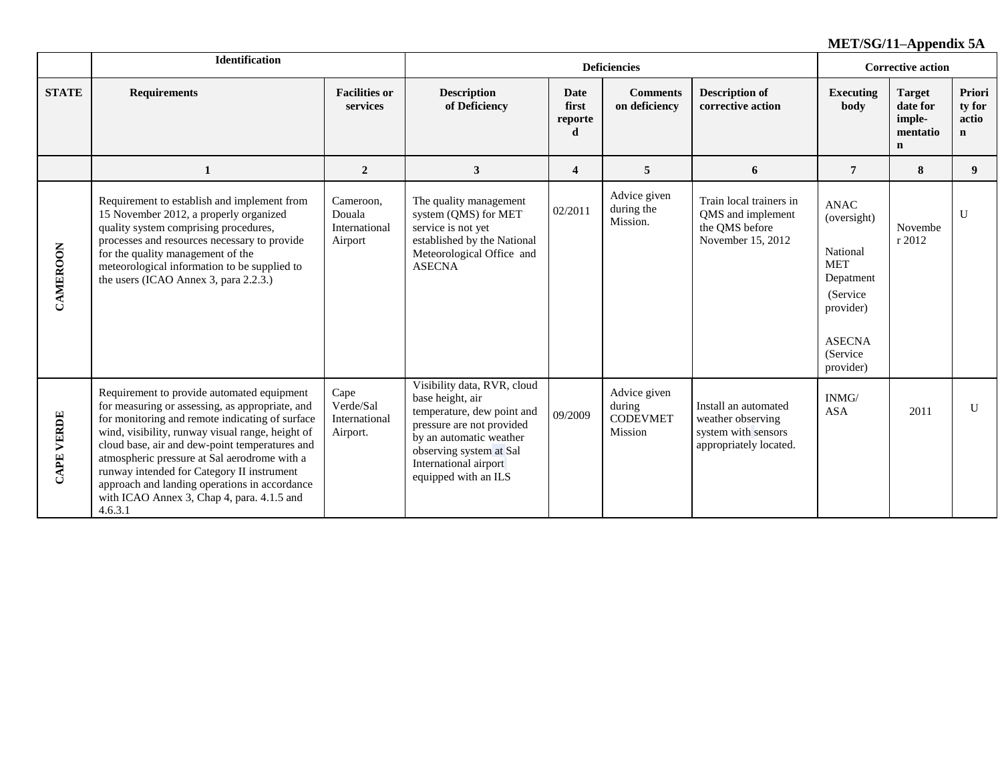|                   | <b>Identification</b>                                                                                                                                                                                                                                                                                                                                                                                                                                          |                                                 |                                                                                                                                                                                                                   |                               | <b>Deficiencies</b>                                  |                                                                                            | <b>Corrective action</b>                                                                                                               |                                                                |                                           |
|-------------------|----------------------------------------------------------------------------------------------------------------------------------------------------------------------------------------------------------------------------------------------------------------------------------------------------------------------------------------------------------------------------------------------------------------------------------------------------------------|-------------------------------------------------|-------------------------------------------------------------------------------------------------------------------------------------------------------------------------------------------------------------------|-------------------------------|------------------------------------------------------|--------------------------------------------------------------------------------------------|----------------------------------------------------------------------------------------------------------------------------------------|----------------------------------------------------------------|-------------------------------------------|
| <b>STATE</b>      | <b>Requirements</b>                                                                                                                                                                                                                                                                                                                                                                                                                                            | <b>Facilities or</b><br>services                | <b>Description</b><br>of Deficiency                                                                                                                                                                               | Date<br>first<br>reporte<br>d | <b>Comments</b><br>on deficiency                     | <b>Description of</b><br>corrective action                                                 | <b>Executing</b><br>body                                                                                                               | <b>Target</b><br>date for<br>imple-<br>mentatio<br>$\mathbf n$ | Priori<br>ty for<br>actio<br>$\mathbf{n}$ |
|                   | 1                                                                                                                                                                                                                                                                                                                                                                                                                                                              | $\overline{2}$                                  | $\mathbf{3}$                                                                                                                                                                                                      | $\overline{\mathbf{4}}$       | 5                                                    | 6                                                                                          | $\overline{7}$                                                                                                                         | 8                                                              | 9 <sup>°</sup>                            |
| CAMEROON          | Requirement to establish and implement from<br>15 November 2012, a properly organized<br>quality system comprising procedures,<br>processes and resources necessary to provide<br>for the quality management of the<br>meteorological information to be supplied to<br>the users (ICAO Annex 3, para 2.2.3.)                                                                                                                                                   | Cameroon,<br>Douala<br>International<br>Airport | The quality management<br>system (QMS) for MET<br>service is not yet<br>established by the National<br>Meteorological Office and<br><b>ASECNA</b>                                                                 | 02/2011                       | Advice given<br>during the<br>Mission.               | Train local trainers in<br>QMS and implement<br>the QMS before<br>November 15, 2012        | <b>ANAC</b><br>(oversight)<br>National<br><b>MET</b><br>Depatment<br>(Service)<br>provider)<br><b>ASECNA</b><br>(Service)<br>provider) | Novembe<br>r 2012                                              | U                                         |
| <b>CAPE VERDE</b> | Requirement to provide automated equipment<br>for measuring or assessing, as appropriate, and<br>for monitoring and remote indicating of surface<br>wind, visibility, runway visual range, height of<br>cloud base, air and dew-point temperatures and<br>atmospheric pressure at Sal aerodrome with a<br>runway intended for Category II instrument<br>approach and landing operations in accordance<br>with ICAO Annex 3, Chap 4, para. 4.1.5 and<br>4.6.3.1 | Cape<br>Verde/Sal<br>International<br>Airport.  | Visibility data, RVR, cloud<br>base height, air<br>temperature, dew point and<br>pressure are not provided<br>by an automatic weather<br>observing system at Sal<br>International airport<br>equipped with an ILS | 09/2009                       | Advice given<br>during<br><b>CODEVMET</b><br>Mission | Install an automated<br>weather observing<br>system with sensors<br>appropriately located. | INMG/<br><b>ASA</b>                                                                                                                    | 2011                                                           | U                                         |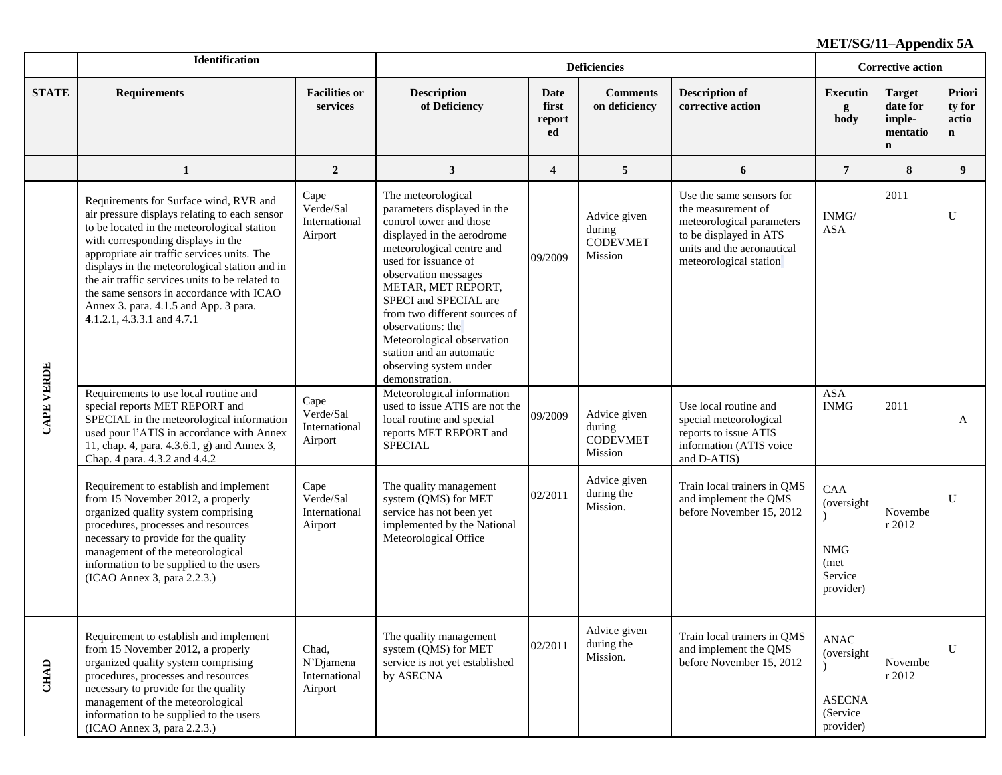|                   | Identification                                                                                                                                                                                                                                                                                                                                                                                                                                     |                                                | <b>Deficiencies</b>                                                                                                                                                                                                                                                                                                                                                                                |                               |                                                      |                                                                                                                                                               |                                                                 | <b>Corrective action</b>                                       |                                          |  |
|-------------------|----------------------------------------------------------------------------------------------------------------------------------------------------------------------------------------------------------------------------------------------------------------------------------------------------------------------------------------------------------------------------------------------------------------------------------------------------|------------------------------------------------|----------------------------------------------------------------------------------------------------------------------------------------------------------------------------------------------------------------------------------------------------------------------------------------------------------------------------------------------------------------------------------------------------|-------------------------------|------------------------------------------------------|---------------------------------------------------------------------------------------------------------------------------------------------------------------|-----------------------------------------------------------------|----------------------------------------------------------------|------------------------------------------|--|
| <b>STATE</b>      | <b>Requirements</b>                                                                                                                                                                                                                                                                                                                                                                                                                                | <b>Facilities or</b><br>services               | <b>Description</b><br>of Deficiency                                                                                                                                                                                                                                                                                                                                                                | Date<br>first<br>report<br>ed | <b>Comments</b><br>on deficiency                     | <b>Description of</b><br>corrective action                                                                                                                    | <b>Executin</b><br>g<br>body                                    | <b>Target</b><br>date for<br>imple-<br>mentatio<br>$\mathbf n$ | Priori<br>ty for<br>actio<br>$\mathbf n$ |  |
|                   | $\mathbf{1}$                                                                                                                                                                                                                                                                                                                                                                                                                                       | $\overline{2}$                                 | 3                                                                                                                                                                                                                                                                                                                                                                                                  | $\overline{4}$                | 5                                                    | 6                                                                                                                                                             | $\overline{7}$                                                  | 8                                                              | 9                                        |  |
|                   | Requirements for Surface wind, RVR and<br>air pressure displays relating to each sensor<br>to be located in the meteorological station<br>with corresponding displays in the<br>appropriate air traffic services units. The<br>displays in the meteorological station and in<br>the air traffic services units to be related to<br>the same sensors in accordance with ICAO<br>Annex 3. para. 4.1.5 and App. 3 para.<br>4.1.2.1, 4.3.3.1 and 4.7.1 | Cape<br>Verde/Sal<br>International<br>Airport  | The meteorological<br>parameters displayed in the<br>control tower and those<br>displayed in the aerodrome<br>meteorological centre and<br>used for issuance of<br>observation messages<br>METAR, MET REPORT,<br>SPECI and SPECIAL are<br>from two different sources of<br>observations: the<br>Meteorological observation<br>station and an automatic<br>observing system under<br>demonstration. | 09/2009                       | Advice given<br>during<br><b>CODEVMET</b><br>Mission | Use the same sensors for<br>the measurement of<br>meteorological parameters<br>to be displayed in ATS<br>units and the aeronautical<br>meteorological station | $\mathbf{INMG}/$<br><b>ASA</b>                                  | 2011                                                           | U                                        |  |
| <b>CAPE VERDE</b> | Requirements to use local routine and<br>special reports MET REPORT and<br>SPECIAL in the meteorological information<br>used pour l'ATIS in accordance with Annex<br>11, chap. 4, para. 4.3.6.1, g) and Annex 3,<br>Chap. 4 para. 4.3.2 and 4.4.2                                                                                                                                                                                                  | Cape<br>Verde/Sal<br>International<br>Airport  | Meteorological information<br>used to issue ATIS are not the<br>local routine and special<br>reports MET REPORT and<br><b>SPECIAL</b>                                                                                                                                                                                                                                                              | 09/2009                       | Advice given<br>during<br><b>CODEVMET</b><br>Mission | Use local routine and<br>special meteorological<br>reports to issue ATIS<br>information (ATIS voice<br>and D-ATIS)                                            | <b>ASA</b><br><b>INMG</b>                                       | 2011                                                           | A                                        |  |
|                   | Requirement to establish and implement<br>from 15 November 2012, a properly<br>organized quality system comprising<br>procedures, processes and resources<br>necessary to provide for the quality<br>management of the meteorological<br>information to be supplied to the users<br>(ICAO Annex 3, para 2.2.3.)                                                                                                                                    | Cape<br>Verde/Sal<br>International<br>Airport  | The quality management<br>system (QMS) for MET<br>service has not been yet<br>implemented by the National<br>Meteorological Office                                                                                                                                                                                                                                                                 | 02/2011                       | Advice given<br>during the<br>Mission.               | Train local trainers in QMS<br>and implement the QMS<br>before November 15, 2012                                                                              | CAA<br>(oversight<br><b>NMG</b><br>(met<br>Service<br>provider) | Novembe<br>r 2012                                              | $\mathbf{U}$                             |  |
| <b>CHAD</b>       | Requirement to establish and implement<br>from 15 November 2012, a properly<br>organized quality system comprising<br>procedures, processes and resources<br>necessary to provide for the quality<br>management of the meteorological<br>information to be supplied to the users<br>(ICAO Annex 3, para 2.2.3.)                                                                                                                                    | Chad,<br>N'Djamena<br>International<br>Airport | The quality management<br>system (QMS) for MET<br>service is not yet established<br>by ASECNA                                                                                                                                                                                                                                                                                                      | 02/2011                       | Advice given<br>during the<br>Mission.               | Train local trainers in QMS<br>and implement the QMS<br>before November 15, 2012                                                                              | ANAC<br>(oversight)<br><b>ASECNA</b><br>(Service)<br>provider)  | Novembe<br>r 2012                                              | U                                        |  |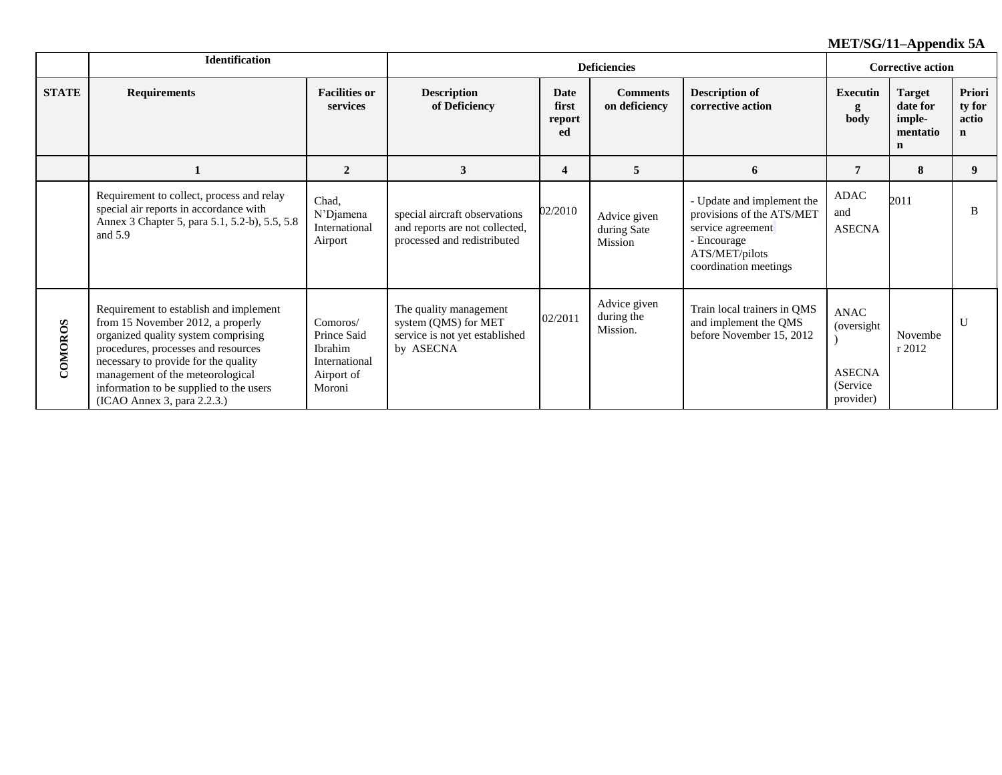|              | <b>Identification</b>                                                                                                                                                                                                                                                                                           |                                                                                    |                                                                                                |                               | <b>Corrective action</b>               |                                                                                                                                        |                                                               |                                                                |                                          |
|--------------|-----------------------------------------------------------------------------------------------------------------------------------------------------------------------------------------------------------------------------------------------------------------------------------------------------------------|------------------------------------------------------------------------------------|------------------------------------------------------------------------------------------------|-------------------------------|----------------------------------------|----------------------------------------------------------------------------------------------------------------------------------------|---------------------------------------------------------------|----------------------------------------------------------------|------------------------------------------|
| <b>STATE</b> | <b>Requirements</b>                                                                                                                                                                                                                                                                                             | <b>Facilities or</b><br>services                                                   | <b>Description</b><br>of Deficiency                                                            | Date<br>first<br>report<br>ed | <b>Comments</b><br>on deficiency       | <b>Description of</b><br>corrective action                                                                                             | <b>Executin</b><br>g<br>body                                  | <b>Target</b><br>date for<br>imple-<br>mentatio<br>$\mathbf n$ | Priori<br>ty for<br>actio<br>$\mathbf n$ |
|              |                                                                                                                                                                                                                                                                                                                 | $\overline{2}$                                                                     | 3                                                                                              | $\overline{\mathbf{4}}$       | 5                                      | 6                                                                                                                                      | 7                                                             | 8                                                              | 9                                        |
|              | Requirement to collect, process and relay<br>special air reports in accordance with<br>Annex 3 Chapter 5, para 5.1, 5.2-b), 5.5, 5.8<br>and $5.9$                                                                                                                                                               | Chad,<br>N'Djamena<br>International<br>Airport                                     | special aircraft observations<br>and reports are not collected,<br>processed and redistributed | 02/2010                       | Advice given<br>during Sate<br>Mission | - Update and implement the<br>provisions of the ATS/MET<br>service agreement<br>- Encourage<br>ATS/MET/pilots<br>coordination meetings | ADAC<br>and<br><b>ASECNA</b>                                  | 2011                                                           | B                                        |
| COMOROS      | Requirement to establish and implement<br>from 15 November 2012, a properly<br>organized quality system comprising<br>procedures, processes and resources<br>necessary to provide for the quality<br>management of the meteorological<br>information to be supplied to the users<br>(ICAO Annex 3, para 2.2.3.) | Comoros/<br>Prince Said<br><b>Ibrahim</b><br>International<br>Airport of<br>Moroni | The quality management<br>system (QMS) for MET<br>service is not yet established<br>by ASECNA  | 02/2011                       | Advice given<br>during the<br>Mission. | Train local trainers in QMS<br>and implement the QMS<br>before November 15, 2012                                                       | ANAC<br>(oversight<br><b>ASECNA</b><br>(Service)<br>provider) | Novembe<br>r 2012                                              | U                                        |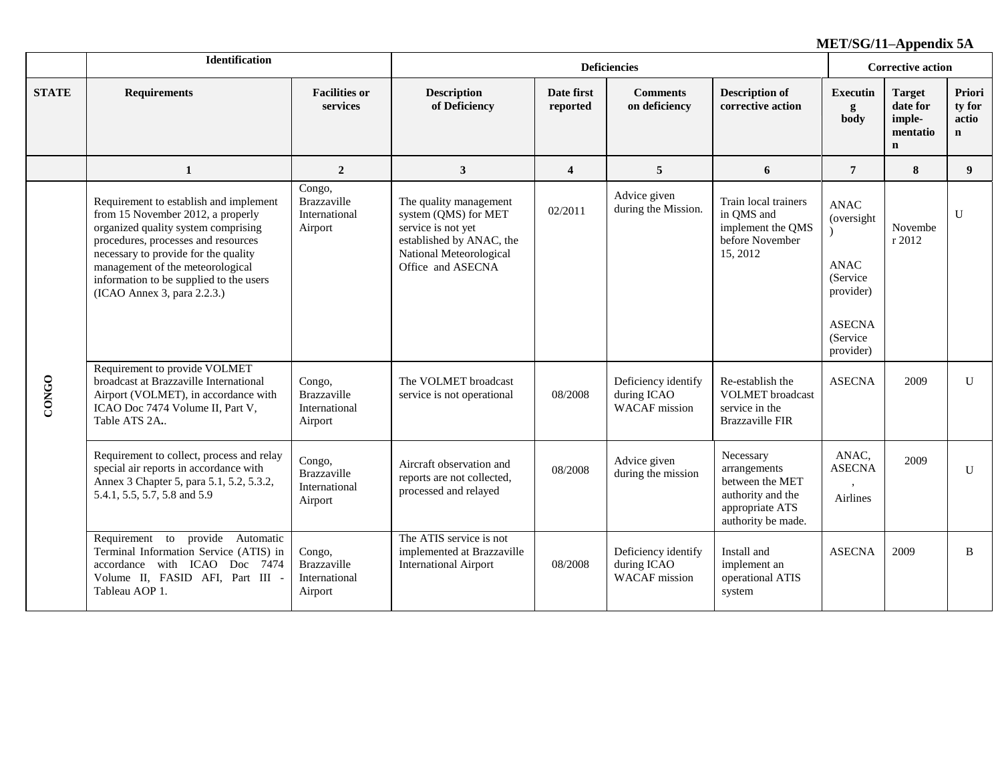|              | Identification                                                                                                                                                                                                                                                                                                  |                                                          |                                                                                                                                                  |                         | <b>Corrective action</b>                                   |                                                                                                            |                                                                                                                |                                                                |                                          |
|--------------|-----------------------------------------------------------------------------------------------------------------------------------------------------------------------------------------------------------------------------------------------------------------------------------------------------------------|----------------------------------------------------------|--------------------------------------------------------------------------------------------------------------------------------------------------|-------------------------|------------------------------------------------------------|------------------------------------------------------------------------------------------------------------|----------------------------------------------------------------------------------------------------------------|----------------------------------------------------------------|------------------------------------------|
| <b>STATE</b> | <b>Requirements</b>                                                                                                                                                                                                                                                                                             | <b>Facilities or</b><br>services                         | <b>Description</b><br>of Deficiency                                                                                                              | Date first<br>reported  | <b>Comments</b><br>on deficiency                           | <b>Description of</b><br>corrective action                                                                 | <b>Executin</b><br>g<br>body                                                                                   | <b>Target</b><br>date for<br>imple-<br>mentatio<br>$\mathbf n$ | Priori<br>ty for<br>actio<br>$\mathbf n$ |
|              | $\mathbf{1}$                                                                                                                                                                                                                                                                                                    | $\overline{2}$                                           | $\mathbf{3}$                                                                                                                                     | $\overline{\mathbf{4}}$ | 5                                                          | 6                                                                                                          | $\overline{7}$                                                                                                 | 8                                                              | 9                                        |
|              | Requirement to establish and implement<br>from 15 November 2012, a properly<br>organized quality system comprising<br>procedures, processes and resources<br>necessary to provide for the quality<br>management of the meteorological<br>information to be supplied to the users<br>(ICAO Annex 3, para 2.2.3.) | Congo,<br>Brazzaville<br>International<br>Airport        | The quality management<br>system (QMS) for MET<br>service is not yet<br>established by ANAC, the<br>National Meteorological<br>Office and ASECNA | 02/2011                 | Advice given<br>during the Mission.                        | Train local trainers<br>in QMS and<br>implement the QMS<br>before November<br>15, 2012                     | <b>ANAC</b><br>(oversight)<br><b>ANAC</b><br>(Service)<br>provider)<br><b>ASECNA</b><br>(Service)<br>provider) | Novembe<br>r 2012                                              | $\mathbf{U}$                             |
| <b>CONGO</b> | Requirement to provide VOLMET<br>broadcast at Brazzaville International<br>Airport (VOLMET), in accordance with<br>ICAO Doc 7474 Volume II, Part V,<br>Table ATS 2A.                                                                                                                                            | Congo,<br>Brazzaville<br>International<br>Airport        | The VOLMET broadcast<br>service is not operational                                                                                               | 08/2008                 | Deficiency identify<br>during ICAO<br><b>WACAF</b> mission | Re-establish the<br><b>VOLMET</b> broadcast<br>service in the<br><b>Brazzaville FIR</b>                    | <b>ASECNA</b>                                                                                                  | 2009                                                           | $\mathbf{U}$                             |
|              | Requirement to collect, process and relay<br>special air reports in accordance with<br>Annex 3 Chapter 5, para 5.1, 5.2, 5.3.2,<br>5.4.1, 5.5, 5.7, 5.8 and 5.9                                                                                                                                                 | Congo,<br><b>Brazzaville</b><br>International<br>Airport | Aircraft observation and<br>reports are not collected,<br>processed and relayed                                                                  | 08/2008                 | Advice given<br>during the mission                         | Necessary<br>arrangements<br>between the MET<br>authority and the<br>appropriate ATS<br>authority be made. | ANAC,<br><b>ASECNA</b><br>Airlines                                                                             | 2009                                                           | U                                        |
|              | Requirement to provide Automatic<br>Terminal Information Service (ATIS) in<br>accordance with ICAO Doc 7474<br>Volume II, FASID AFI, Part III -<br>Tableau AOP 1.                                                                                                                                               | Congo,<br>Brazzaville<br>International<br>Airport        | The ATIS service is not<br>implemented at Brazzaville<br><b>International Airport</b>                                                            | 08/2008                 | Deficiency identify<br>during ICAO<br><b>WACAF</b> mission | Install and<br>implement an<br>operational ATIS<br>system                                                  | <b>ASECNA</b>                                                                                                  | 2009                                                           | <sub>B</sub>                             |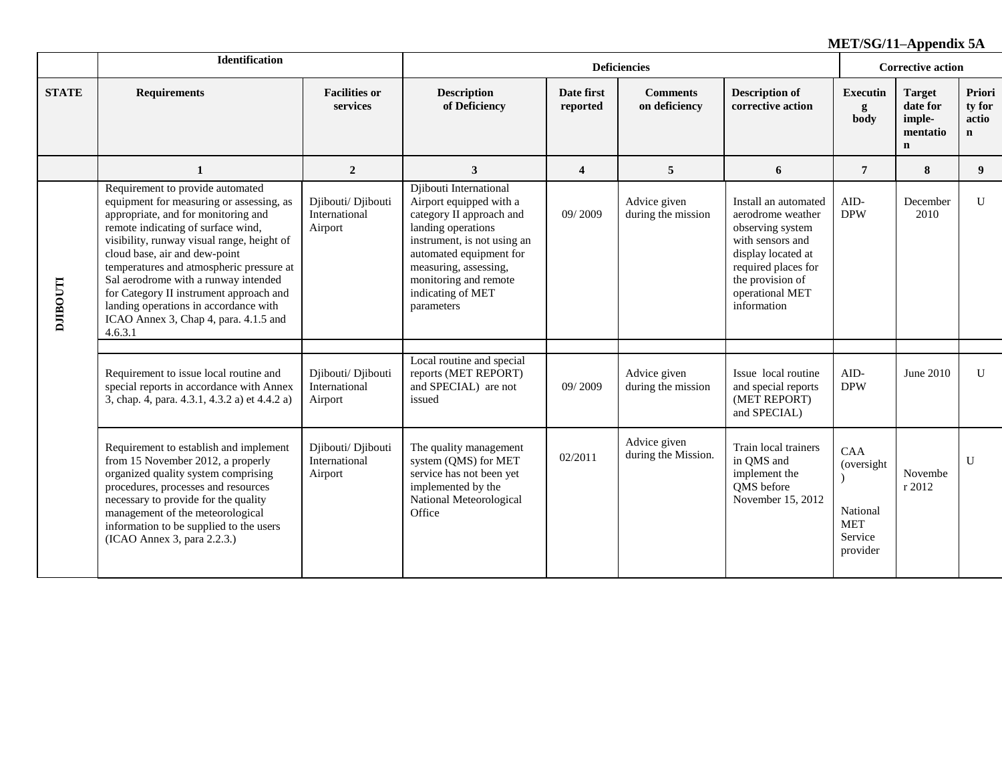|                | Identification                                                                                                                                                                                                                                                                                                                                                                                                                                                                                                         |                                                |                                                                                                                                                                                                                                                    |                         | <b>Deficiencies</b>                 |                                                                                                                                                                                      | <b>Corrective action</b>                                           |                                                                |                                          |
|----------------|------------------------------------------------------------------------------------------------------------------------------------------------------------------------------------------------------------------------------------------------------------------------------------------------------------------------------------------------------------------------------------------------------------------------------------------------------------------------------------------------------------------------|------------------------------------------------|----------------------------------------------------------------------------------------------------------------------------------------------------------------------------------------------------------------------------------------------------|-------------------------|-------------------------------------|--------------------------------------------------------------------------------------------------------------------------------------------------------------------------------------|--------------------------------------------------------------------|----------------------------------------------------------------|------------------------------------------|
| <b>STATE</b>   | <b>Requirements</b>                                                                                                                                                                                                                                                                                                                                                                                                                                                                                                    | <b>Facilities or</b><br>services               | <b>Description</b><br>of Deficiency                                                                                                                                                                                                                | Date first<br>reported  | <b>Comments</b><br>on deficiency    | <b>Description of</b><br>corrective action                                                                                                                                           | <b>Executin</b><br>g<br>body                                       | <b>Target</b><br>date for<br>imple-<br>mentatio<br>$\mathbf n$ | Priori<br>ty for<br>actio<br>$\mathbf n$ |
|                | $\mathbf 1$                                                                                                                                                                                                                                                                                                                                                                                                                                                                                                            | $\overline{2}$                                 | 3                                                                                                                                                                                                                                                  | $\overline{\mathbf{4}}$ | 5                                   | 6                                                                                                                                                                                    | $\overline{7}$                                                     | 8                                                              | 9 <sup>°</sup>                           |
| <b>LLOOHIC</b> | Requirement to provide automated<br>equipment for measuring or assessing, as<br>Djibouti/ Djibouti<br>appropriate, and for monitoring and<br>International<br>remote indicating of surface wind,<br>Airport<br>visibility, runway visual range, height of<br>cloud base, air and dew-point<br>temperatures and atmospheric pressure at<br>Sal aerodrome with a runway intended<br>for Category II instrument approach and<br>landing operations in accordance with<br>ICAO Annex 3, Chap 4, para. 4.1.5 and<br>4.6.3.1 |                                                | Djibouti International<br>Airport equipped with a<br>category II approach and<br>landing operations<br>instrument, is not using an<br>automated equipment for<br>measuring, assessing,<br>monitoring and remote<br>indicating of MET<br>parameters | 09/2009                 | Advice given<br>during the mission  | Install an automated<br>aerodrome weather<br>observing system<br>with sensors and<br>display located at<br>required places for<br>the provision of<br>operational MET<br>information | AID-<br><b>DPW</b>                                                 | December<br>2010                                               | $\mathbf{U}$                             |
|                | Requirement to issue local routine and<br>special reports in accordance with Annex<br>3, chap. 4, para. 4.3.1, 4.3.2 a) et 4.4.2 a)                                                                                                                                                                                                                                                                                                                                                                                    | Djibouti/ Djibouti<br>International<br>Airport | Local routine and special<br>reports (MET REPORT)<br>and SPECIAL) are not<br>issued                                                                                                                                                                | 09/2009                 | Advice given<br>during the mission  | Issue local routine<br>and special reports<br>(MET REPORT)<br>and SPECIAL)                                                                                                           | AID-<br><b>DPW</b>                                                 | June 2010                                                      | $\mathbf{U}$                             |
|                | Requirement to establish and implement<br>from 15 November 2012, a properly<br>organized quality system comprising<br>procedures, processes and resources<br>necessary to provide for the quality<br>management of the meteorological<br>information to be supplied to the users<br>(ICAO Annex 3, para 2.2.3.)                                                                                                                                                                                                        | Djibouti/ Djibouti<br>International<br>Airport | The quality management<br>system (QMS) for MET<br>service has not been yet<br>implemented by the<br>National Meteorological<br>Office                                                                                                              | 02/2011                 | Advice given<br>during the Mission. | Train local trainers<br>in QMS and<br>implement the<br>QMS before<br>November 15, 2012                                                                                               | CAA<br>(oversight<br>National<br><b>MET</b><br>Service<br>provider | Novembe<br>r 2012                                              | $\mathbf{U}$                             |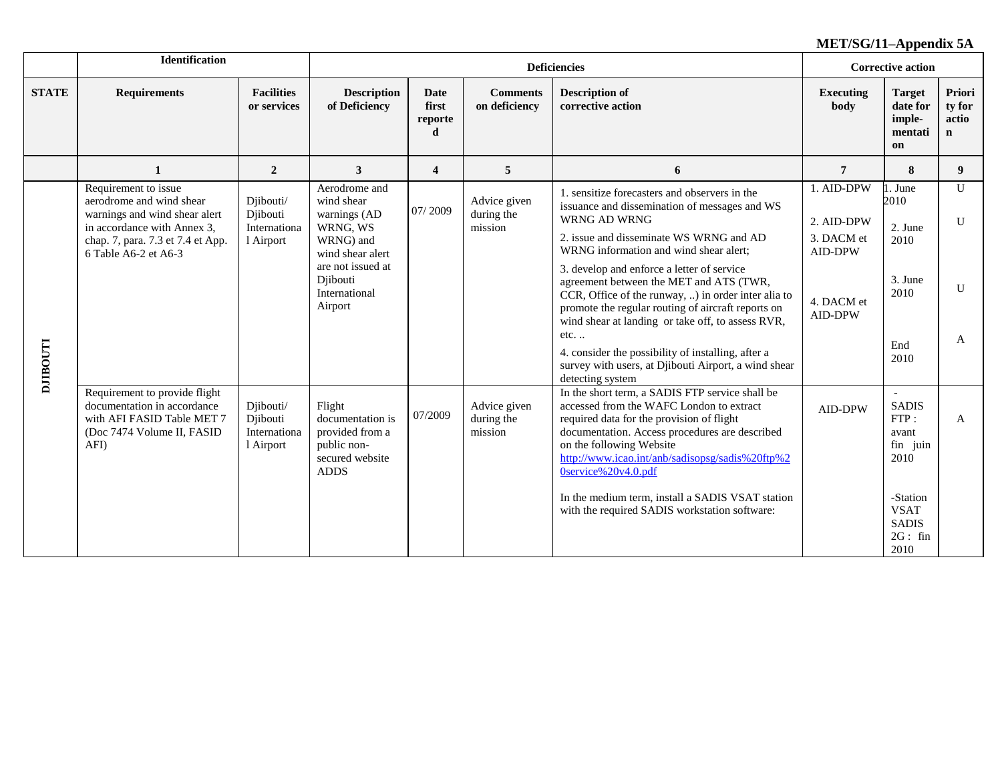|                | <b>Identification</b>                                                                                                                                                         |                                                    |                                                                                                                                                       | <b>Deficiencies</b>           |                                       |                                                                                                                                                                                                                                                                                                                                                                                                                                                                                                                                                                                                            |                                                                                   |                                                                                                                             | <b>Corrective action</b>                 |
|----------------|-------------------------------------------------------------------------------------------------------------------------------------------------------------------------------|----------------------------------------------------|-------------------------------------------------------------------------------------------------------------------------------------------------------|-------------------------------|---------------------------------------|------------------------------------------------------------------------------------------------------------------------------------------------------------------------------------------------------------------------------------------------------------------------------------------------------------------------------------------------------------------------------------------------------------------------------------------------------------------------------------------------------------------------------------------------------------------------------------------------------------|-----------------------------------------------------------------------------------|-----------------------------------------------------------------------------------------------------------------------------|------------------------------------------|
| <b>STATE</b>   | <b>Requirements</b>                                                                                                                                                           | <b>Facilities</b><br>or services                   | <b>Description</b><br>of Deficiency                                                                                                                   | Date<br>first<br>reporte<br>d | <b>Comments</b><br>on deficiency      | <b>Description of</b><br>corrective action                                                                                                                                                                                                                                                                                                                                                                                                                                                                                                                                                                 | <b>Executing</b><br>body                                                          | <b>Target</b><br>date for<br>imple-<br>mentati<br>on                                                                        | Priori<br>ty for<br>actio<br>$\mathbf n$ |
|                | $\mathbf{1}$                                                                                                                                                                  | $\overline{2}$                                     | 3                                                                                                                                                     | $\overline{\mathbf{4}}$       | 5                                     | 6                                                                                                                                                                                                                                                                                                                                                                                                                                                                                                                                                                                                          | $\overline{7}$                                                                    | 8                                                                                                                           | 9                                        |
| <b>LLOGILC</b> | Requirement to issue<br>aerodrome and wind shear<br>warnings and wind shear alert<br>in accordance with Annex 3,<br>chap. 7, para. 7.3 et 7.4 et App.<br>6 Table A6-2 et A6-3 | Djibouti/<br>Djibouti<br>Internationa<br>1 Airport | Aerodrome and<br>wind shear<br>warnings (AD<br>WRNG, WS<br>WRNG) and<br>wind shear alert<br>are not issued at<br>Djibouti<br>International<br>Airport | 07/2009                       | Advice given<br>during the<br>mission | 1. sensitize forecasters and observers in the<br>issuance and dissemination of messages and WS<br>WRNG AD WRNG<br>2. issue and disseminate WS WRNG and AD<br>WRNG information and wind shear alert;<br>3. develop and enforce a letter of service<br>agreement between the MET and ATS (TWR,<br>CCR, Office of the runway, ) in order inter alia to<br>promote the regular routing of aircraft reports on<br>wind shear at landing or take off, to assess RVR,<br>$etc.$<br>4. consider the possibility of installing, after a<br>survey with users, at Djibouti Airport, a wind shear<br>detecting system | 1. AID-DPW<br>2. AID-DPW<br>3. DACM et<br><b>AID-DPW</b><br>4. DACM et<br>AID-DPW | 1. June<br>2010<br>2. June<br>2010<br>3. June<br>2010<br>End<br>2010                                                        | $\mathbf{U}$<br>$\mathbf{U}$<br>U<br>A   |
|                | Requirement to provide flight<br>documentation in accordance<br>with AFI FASID Table MET 7<br>(Doc 7474 Volume II, FASID<br>AFI)                                              | Djibouti/<br>Djibouti<br>Internationa<br>1 Airport | Flight<br>documentation is<br>provided from a<br>public non-<br>secured website<br><b>ADDS</b>                                                        | 07/2009                       | Advice given<br>during the<br>mission | In the short term, a SADIS FTP service shall be<br>accessed from the WAFC London to extract<br>required data for the provision of flight<br>documentation. Access procedures are described<br>on the following Website<br>http://www.icao.int/anb/sadisopsg/sadis%20ftp%2<br>0service%20v4.0.pdf<br>In the medium term, install a SADIS VSAT station<br>with the required SADIS workstation software:                                                                                                                                                                                                      | AID-DPW                                                                           | $\sim$<br><b>SADIS</b><br>FTP:<br>avant<br>fin juin<br>2010<br>-Station<br><b>VSAT</b><br><b>SADIS</b><br>$2G:$ fin<br>2010 | A                                        |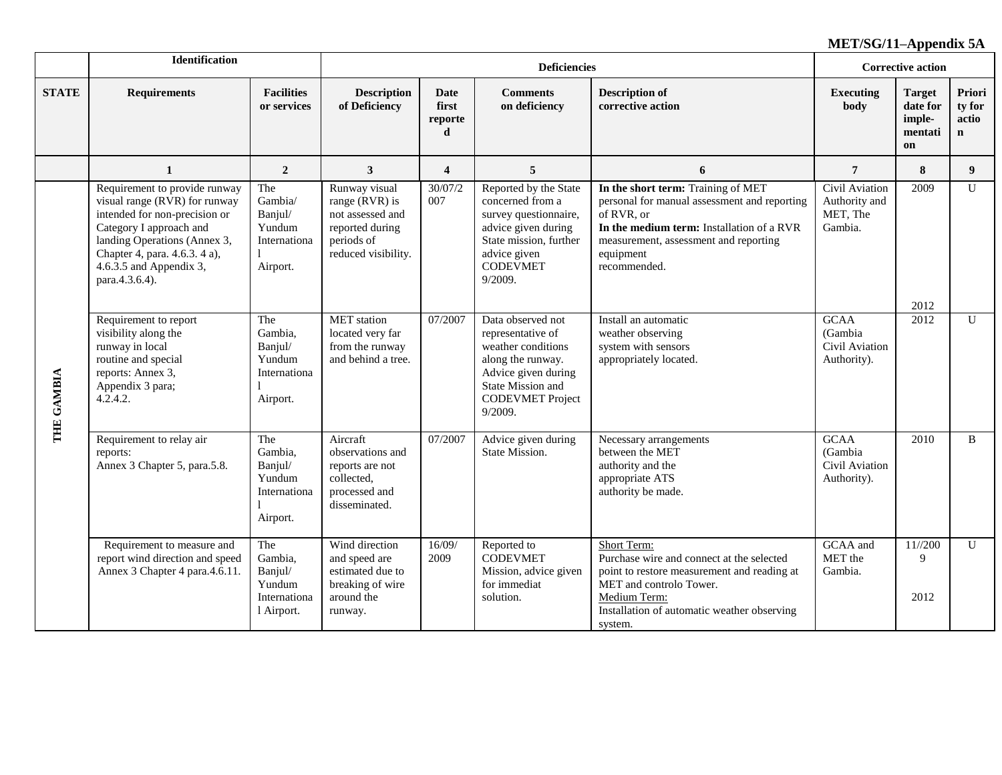|              | <b>Identification</b>                                                                                                                                                                                                                                                                                         |                                                                   |                                                                                                                                                                     |                                                                                            | <b>Deficiencies</b>                                                                                                                                               |                                                                                                                                                                                                                     | <b>Corrective action</b>                                |                                                      |                                          |
|--------------|---------------------------------------------------------------------------------------------------------------------------------------------------------------------------------------------------------------------------------------------------------------------------------------------------------------|-------------------------------------------------------------------|---------------------------------------------------------------------------------------------------------------------------------------------------------------------|--------------------------------------------------------------------------------------------|-------------------------------------------------------------------------------------------------------------------------------------------------------------------|---------------------------------------------------------------------------------------------------------------------------------------------------------------------------------------------------------------------|---------------------------------------------------------|------------------------------------------------------|------------------------------------------|
| <b>STATE</b> | <b>Requirements</b>                                                                                                                                                                                                                                                                                           | <b>Facilities</b><br>or services                                  | <b>Description</b><br>of Deficiency                                                                                                                                 | Date<br>first<br>reporte<br>d                                                              | <b>Comments</b><br>on deficiency                                                                                                                                  | <b>Description of</b><br>corrective action                                                                                                                                                                          | <b>Executing</b><br>body                                | <b>Target</b><br>date for<br>imple-<br>mentati<br>on | Priori<br>ty for<br>actio<br>$\mathbf n$ |
|              | $\mathbf{1}$                                                                                                                                                                                                                                                                                                  | $\boldsymbol{2}$                                                  | $\mathbf{3}$                                                                                                                                                        | $\boldsymbol{4}$                                                                           | 5                                                                                                                                                                 | 6                                                                                                                                                                                                                   | $\overline{7}$                                          | 8                                                    | 9 <sup>°</sup>                           |
|              | Requirement to provide runway<br>visual range (RVR) for runway<br>intended for non-precision or<br>Category I approach and<br>landing Operations (Annex 3,<br>Chapter 4, para. 4.6.3. 4 a),<br>$4.6.\overline{3}.5$ and Appendix 3,<br>para.4.3.6.4).                                                         | The<br>Gambia/<br>Banjul/<br>Yundum<br>Internationa<br>Airport.   | Runway visual<br>range $(RVR)$ is<br>not assessed and<br>reported during<br>periods of<br>reduced visibility.                                                       | 30/07/2<br>007                                                                             | Reported by the State<br>concerned from a<br>survey questionnaire,<br>advice given during<br>State mission, further<br>advice given<br><b>CODEVMET</b><br>9/2009. | In the short term: Training of MET<br>personal for manual assessment and reporting<br>of RVR, or<br>In the medium term: Installation of a RVR<br>measurement, assessment and reporting<br>equipment<br>recommended. | Civil Aviation<br>Authority and<br>MET, The<br>Gambia.  | 2009<br>2012                                         | $\mathbf{U}$                             |
| THE GAMBIA   | The<br><b>MET</b> station<br>07/2007<br>Requirement to report<br>visibility along the<br>Gambia,<br>located very far<br>runway in local<br>from the runway<br>Banjul/<br>routine and special<br>Yundum<br>and behind a tree.<br>reports: Annex 3,<br>Internationa<br>Appendix 3 para;<br>4.2.4.2.<br>Airport. |                                                                   | Data observed not<br>representative of<br>weather conditions<br>along the runway.<br>Advice given during<br>State Mission and<br><b>CODEVMET Project</b><br>9/2009. | Install an automatic<br>weather observing<br>system with sensors<br>appropriately located. | <b>GCAA</b><br>(Gambia<br>Civil Aviation<br>Authority).                                                                                                           | 2012                                                                                                                                                                                                                | $\mathbf{U}$                                            |                                                      |                                          |
|              | Requirement to relay air<br>reports:<br>Annex 3 Chapter 5, para.5.8.                                                                                                                                                                                                                                          | The<br>Gambia,<br>Banjul/<br>Yundum<br>Internationa<br>Airport.   | Aircraft<br>observations and<br>reports are not<br>collected,<br>processed and<br>disseminated.                                                                     | 07/2007                                                                                    | Advice given during<br>State Mission.                                                                                                                             | Necessary arrangements<br>between the MET<br>authority and the<br>appropriate ATS<br>authority be made.                                                                                                             | <b>GCAA</b><br>(Gambia<br>Civil Aviation<br>Authority). | 2010                                                 | <sub>B</sub>                             |
|              | Requirement to measure and<br>report wind direction and speed<br>Annex 3 Chapter 4 para.4.6.11.                                                                                                                                                                                                               | The<br>Gambia,<br>Banjul/<br>Yundum<br>Internationa<br>l Airport. | Wind direction<br>and speed are<br>estimated due to<br>breaking of wire<br>around the<br>runway.                                                                    | 16/09/<br>2009                                                                             | Reported to<br><b>CODEVMET</b><br>Mission, advice given<br>for immediat<br>solution.                                                                              | Short Term:<br>Purchase wire and connect at the selected<br>point to restore measurement and reading at<br>MET and controlo Tower.<br>Medium Term:<br>Installation of automatic weather observing<br>system.        | GCAA and<br>MET the<br>Gambia.                          | $11^{1/200}$<br>9<br>2012                            | $\mathbf{U}$                             |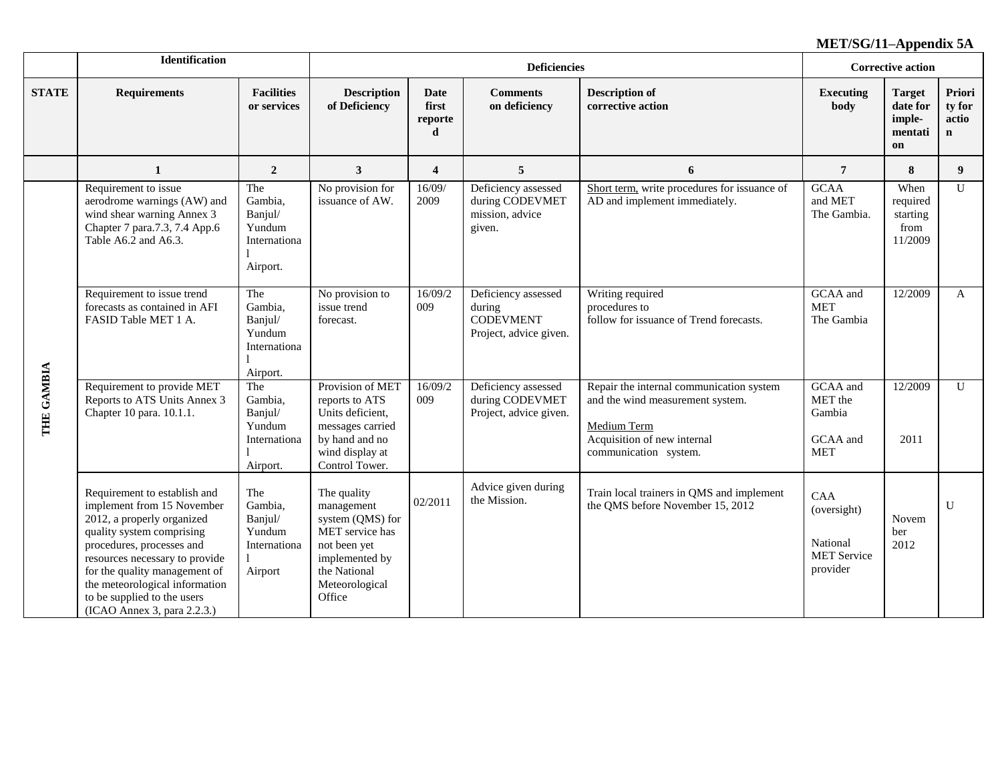|              | <b>Identification</b>                                                                                                                                                                                                                                                                                                 |                                                                 |                                                                                                                                                |                                      | <b>Deficiencies</b>                                                 |                                                                                                                                                            | <b>Corrective action</b>                                         |                                                      |                                |
|--------------|-----------------------------------------------------------------------------------------------------------------------------------------------------------------------------------------------------------------------------------------------------------------------------------------------------------------------|-----------------------------------------------------------------|------------------------------------------------------------------------------------------------------------------------------------------------|--------------------------------------|---------------------------------------------------------------------|------------------------------------------------------------------------------------------------------------------------------------------------------------|------------------------------------------------------------------|------------------------------------------------------|--------------------------------|
| <b>STATE</b> | <b>Requirements</b>                                                                                                                                                                                                                                                                                                   | <b>Facilities</b><br>or services                                | <b>Description</b><br>of Deficiency                                                                                                            | <b>Date</b><br>first<br>reporte<br>d | <b>Comments</b><br>on deficiency                                    | <b>Description of</b><br>corrective action                                                                                                                 | <b>Executing</b><br>body                                         | <b>Target</b><br>date for<br>imple-<br>mentati<br>on | Priori<br>ty for<br>actio<br>n |
|              | $\mathbf{1}$                                                                                                                                                                                                                                                                                                          | $\overline{2}$                                                  | $\mathbf{3}$                                                                                                                                   | $\overline{\mathbf{4}}$              | 5                                                                   | 6                                                                                                                                                          | $\overline{7}$                                                   | 8                                                    | 9 <sup>°</sup>                 |
|              | Requirement to issue<br>aerodrome warnings (AW) and<br>wind shear warning Annex 3<br>Chapter 7 para.7.3, 7.4 App.6<br>Table A6.2 and A6.3.                                                                                                                                                                            | The<br>Gambia,<br>Banjul/<br>Yundum<br>Internationa<br>Airport. | No provision for<br>issuance of AW.                                                                                                            | 16/09/<br>2009                       | Deficiency assessed<br>during CODEVMET<br>mission, advice<br>given. | Short term, write procedures for issuance of<br>AD and implement immediately.                                                                              | <b>GCAA</b><br>and MET<br>The Gambia.                            | When<br>required<br>starting<br>from<br>11/2009      | $\mathbf{U}$                   |
| THE GAMBIA   | Requirement to issue trend<br>The<br>Gambia,<br>forecasts as contained in AFI<br>FASID Table MET 1 A.<br>Banjul/<br>Yundum<br>Internationa<br>Airport.                                                                                                                                                                |                                                                 | No provision to<br>issue trend<br>forecast.                                                                                                    | 16/09/2<br>009                       |                                                                     | Writing required<br>procedures to<br>follow for issuance of Trend forecasts.                                                                               | GCAA and<br><b>MET</b><br>The Gambia                             | 12/2009                                              | A                              |
|              | Requirement to provide MET<br>Reports to ATS Units Annex 3<br>Chapter 10 para. 10.1.1.                                                                                                                                                                                                                                | The<br>Gambia,<br>Banjul/<br>Yundum<br>Internationa<br>Airport. | Provision of MET<br>reports to ATS<br>Units deficient,<br>messages carried<br>by hand and no<br>wind display at<br>Control Tower.              | 16/09/2<br>009                       | Deficiency assessed<br>during CODEVMET<br>Project, advice given.    | Repair the internal communication system<br>and the wind measurement system.<br><b>Medium Term</b><br>Acquisition of new internal<br>communication system. | GCAA and<br>MET the<br>Gambia<br>GCAA and<br><b>MET</b>          | 12/2009<br>2011                                      | $\mathbf{U}$                   |
|              | Requirement to establish and<br>implement from 15 November<br>2012, a properly organized<br>quality system comprising<br>procedures, processes and<br>resources necessary to provide<br>for the quality management of<br>the meteorological information<br>to be supplied to the users<br>(ICAO Annex 3, para 2.2.3.) | The<br>Gambia,<br>Banjul/<br>Yundum<br>Internationa<br>Airport  | The quality<br>management<br>system (QMS) for<br>MET service has<br>not been yet<br>implemented by<br>the National<br>Meteorological<br>Office | 02/2011                              | Advice given during<br>the Mission.                                 | Train local trainers in QMS and implement<br>the QMS before November 15, 2012                                                                              | CAA<br>(oversight)<br>National<br><b>MET</b> Service<br>provider | Novem<br>ber<br>2012                                 | U                              |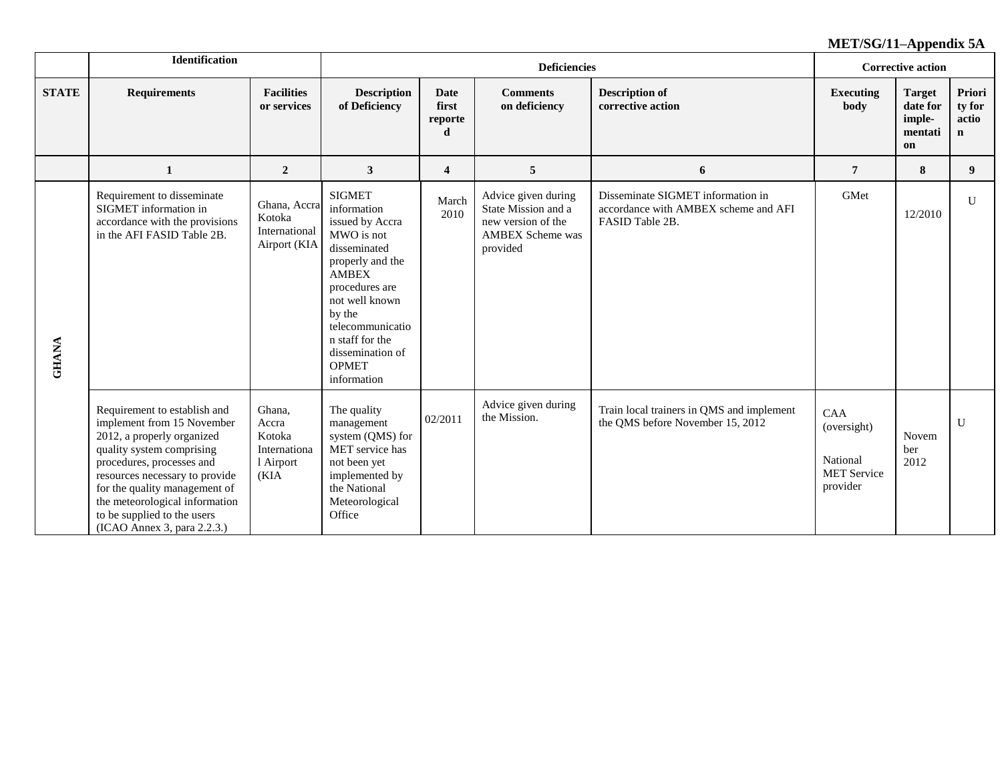|              | <b>Identification</b>                                                                                                                                                                                                                                                                                                 |                                                                |                                                                                                                                                                                                                                                           |                                      | <b>Deficiencies</b>                                                                                     |                                                                                              | <b>Corrective action</b>                                         |                                                      |                                          |
|--------------|-----------------------------------------------------------------------------------------------------------------------------------------------------------------------------------------------------------------------------------------------------------------------------------------------------------------------|----------------------------------------------------------------|-----------------------------------------------------------------------------------------------------------------------------------------------------------------------------------------------------------------------------------------------------------|--------------------------------------|---------------------------------------------------------------------------------------------------------|----------------------------------------------------------------------------------------------|------------------------------------------------------------------|------------------------------------------------------|------------------------------------------|
| <b>STATE</b> | <b>Requirements</b>                                                                                                                                                                                                                                                                                                   | <b>Facilities</b><br>or services                               | <b>Description</b><br>of Deficiency                                                                                                                                                                                                                       | <b>Date</b><br>first<br>reporte<br>d | <b>Comments</b><br>on deficiency                                                                        | <b>Description of</b><br>corrective action                                                   | <b>Executing</b><br>body                                         | <b>Target</b><br>date for<br>imple-<br>mentati<br>on | Priori<br>ty for<br>actio<br>$\mathbf n$ |
|              | 1                                                                                                                                                                                                                                                                                                                     | $\overline{2}$                                                 | 3                                                                                                                                                                                                                                                         | 4                                    | 5                                                                                                       | 6                                                                                            | $\overline{7}$                                                   | 8                                                    | 9                                        |
| <b>GHANA</b> | Requirement to disseminate<br>SIGMET information in<br>accordance with the provisions<br>in the AFI FASID Table 2B.                                                                                                                                                                                                   | Ghana, Accra<br>Kotoka<br>International<br>Airport (KIA        | <b>SIGMET</b><br>information<br>issued by Accra<br>MWO is not<br>disseminated<br>properly and the<br><b>AMBEX</b><br>procedures are<br>not well known<br>by the<br>telecommunicatio<br>n staff for the<br>dissemination of<br><b>OPMET</b><br>information | March<br>2010                        | Advice given during<br>State Mission and a<br>new version of the<br><b>AMBEX Scheme was</b><br>provided | Disseminate SIGMET information in<br>accordance with AMBEX scheme and AFI<br>FASID Table 2B. | GMet                                                             | 12/2010                                              | U                                        |
|              | Requirement to establish and<br>implement from 15 November<br>2012, a properly organized<br>quality system comprising<br>procedures, processes and<br>resources necessary to provide<br>for the quality management of<br>the meteorological information<br>to be supplied to the users<br>(ICAO Annex 3, para 2.2.3.) | Ghana,<br>Accra<br>Kotoka<br>Internationa<br>1 Airport<br>(KIA | The quality<br>management<br>system (QMS) for<br>MET service has<br>not been yet<br>implemented by<br>the National<br>Meteorological<br>Office                                                                                                            | 02/2011                              | Advice given during<br>the Mission.                                                                     | Train local trainers in QMS and implement<br>the QMS before November 15, 2012                | CAA<br>(oversight)<br>National<br><b>MET</b> Service<br>provider | Novem<br>ber<br>2012                                 | $\mathbf{U}$                             |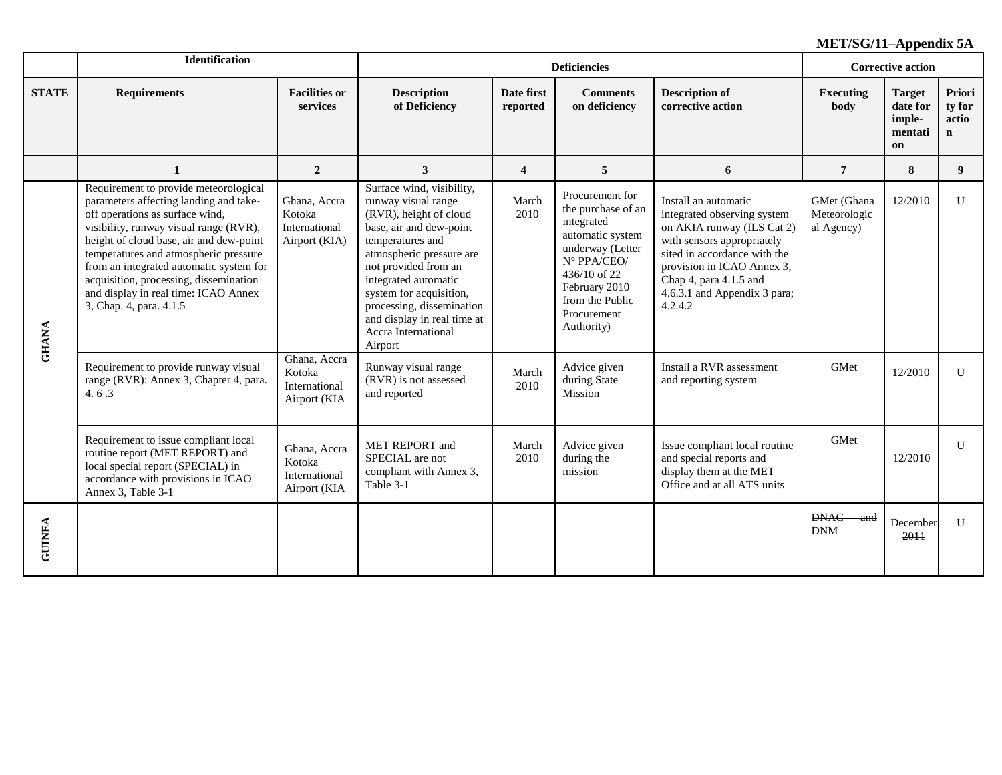|               | <b>Identification</b>                                                                                                                                                                                                                                                                                                                                                                                    |                                                          |                                                                                                                                                                                                                                                                                                                                |                         | <b>Deficiencies</b>                                                                                                                                                                           |                                                                                                                                                                                                                                                    |                                           | <b>Corrective action</b>                             |                                           |
|---------------|----------------------------------------------------------------------------------------------------------------------------------------------------------------------------------------------------------------------------------------------------------------------------------------------------------------------------------------------------------------------------------------------------------|----------------------------------------------------------|--------------------------------------------------------------------------------------------------------------------------------------------------------------------------------------------------------------------------------------------------------------------------------------------------------------------------------|-------------------------|-----------------------------------------------------------------------------------------------------------------------------------------------------------------------------------------------|----------------------------------------------------------------------------------------------------------------------------------------------------------------------------------------------------------------------------------------------------|-------------------------------------------|------------------------------------------------------|-------------------------------------------|
| <b>STATE</b>  | <b>Requirements</b>                                                                                                                                                                                                                                                                                                                                                                                      | <b>Facilities or</b><br>services                         | <b>Description</b><br>of Deficiency                                                                                                                                                                                                                                                                                            | Date first<br>reported  | <b>Comments</b><br>on deficiency                                                                                                                                                              | <b>Description of</b><br>corrective action                                                                                                                                                                                                         | <b>Executing</b><br>body                  | <b>Target</b><br>date for<br>imple-<br>mentati<br>on | Priori<br>ty for<br>actio<br>$\mathbf{n}$ |
|               | 1                                                                                                                                                                                                                                                                                                                                                                                                        | $\overline{2}$                                           | 3                                                                                                                                                                                                                                                                                                                              | $\overline{\mathbf{4}}$ | 5                                                                                                                                                                                             | 6                                                                                                                                                                                                                                                  | $\overline{7}$                            | 8                                                    | 9                                         |
| <b>GHANA</b>  | Requirement to provide meteorological<br>parameters affecting landing and take-<br>off operations as surface wind,<br>visibility, runway visual range (RVR),<br>height of cloud base, air and dew-point<br>temperatures and atmospheric pressure<br>from an integrated automatic system for<br>acquisition, processing, dissemination<br>and display in real time: ICAO Annex<br>3, Chap. 4, para. 4.1.5 | Ghana, Accra<br>Kotoka<br>International<br>Airport (KIA) | Surface wind, visibility,<br>runway visual range<br>(RVR), height of cloud<br>base, air and dew-point<br>temperatures and<br>atmospheric pressure are<br>not provided from an<br>integrated automatic<br>system for acquisition,<br>processing, dissemination<br>and display in real time at<br>Accra International<br>Airport | March<br>2010           | Procurement for<br>the purchase of an<br>integrated<br>automatic system<br>underway (Letter<br>N° PPA/CEO/<br>$436/10$ of 22<br>February 2010<br>from the Public<br>Procurement<br>Authority) | Install an automatic<br>integrated observing system<br>on AKIA runway (ILS Cat 2)<br>with sensors appropriately<br>sited in accordance with the<br>provision in ICAO Annex 3,<br>Chap 4, para 4.1.5 and<br>4.6.3.1 and Appendix 3 para;<br>4.2.4.2 | GMet (Ghana<br>Meteorologic<br>al Agency) | 12/2010                                              | $\mathbf{U}$                              |
|               | Requirement to provide runway visual<br>range (RVR): Annex 3, Chapter 4, para.<br>4.6.3                                                                                                                                                                                                                                                                                                                  | Ghana, Accra<br>Kotoka<br>International<br>Airport (KIA  | Runway visual range<br>(RVR) is not assessed<br>and reported                                                                                                                                                                                                                                                                   | March<br>2010           | Advice given<br>during State<br>Mission                                                                                                                                                       | Install a RVR assessment<br>and reporting system                                                                                                                                                                                                   | GMet                                      | 12/2010                                              | $\mathbf{U}$                              |
|               | Requirement to issue compliant local<br>routine report (MET REPORT) and<br>local special report (SPECIAL) in<br>accordance with provisions in ICAO<br>Annex 3, Table 3-1                                                                                                                                                                                                                                 | Ghana, Accra<br>Kotoka<br>International<br>Airport (KIA  | MET REPORT and<br>SPECIAL are not<br>compliant with Annex 3,<br>Table 3-1                                                                                                                                                                                                                                                      | March<br>2010           | Advice given<br>during the<br>mission                                                                                                                                                         | Issue compliant local routine<br>and special reports and<br>display them at the MET<br>Office and at all ATS units                                                                                                                                 | GMet                                      | 12/2010                                              | $\mathbf{U}$                              |
| <b>GUINEA</b> |                                                                                                                                                                                                                                                                                                                                                                                                          |                                                          |                                                                                                                                                                                                                                                                                                                                |                         |                                                                                                                                                                                               |                                                                                                                                                                                                                                                    | <b>DNAC</b><br>and<br><b>DNM</b>          | <b>December</b><br>2011                              | $\mathbf{H}$                              |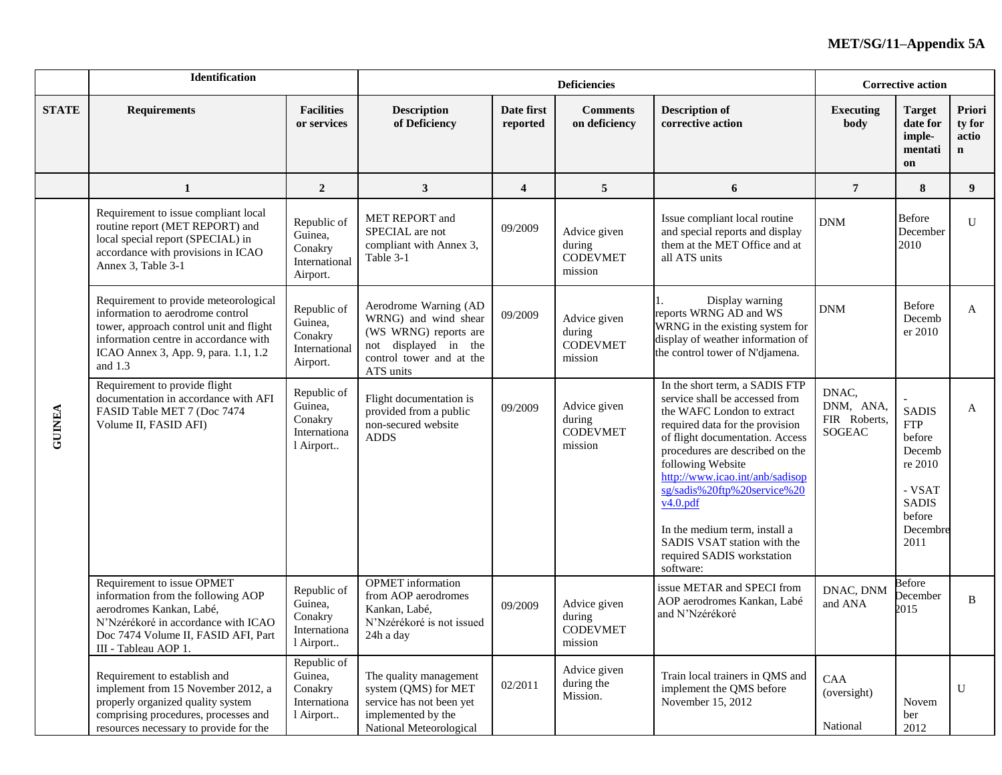|               | Identification                                                                                                                                                                                                     |                                                                |                                                                                                                                            |                         | <b>Deficiencies</b>                                  |                                                                                                                                                                                                                                                                                                                                                                                                                       | <b>Corrective action</b>                     |                                                                                                                       |                                          |
|---------------|--------------------------------------------------------------------------------------------------------------------------------------------------------------------------------------------------------------------|----------------------------------------------------------------|--------------------------------------------------------------------------------------------------------------------------------------------|-------------------------|------------------------------------------------------|-----------------------------------------------------------------------------------------------------------------------------------------------------------------------------------------------------------------------------------------------------------------------------------------------------------------------------------------------------------------------------------------------------------------------|----------------------------------------------|-----------------------------------------------------------------------------------------------------------------------|------------------------------------------|
| <b>STATE</b>  | <b>Requirements</b>                                                                                                                                                                                                | <b>Facilities</b><br>or services                               | <b>Description</b><br>of Deficiency                                                                                                        | Date first<br>reported  | <b>Comments</b><br>on deficiency                     | <b>Description of</b><br>corrective action                                                                                                                                                                                                                                                                                                                                                                            | <b>Executing</b><br>body                     | <b>Target</b><br>date for<br>imple-<br>mentati<br>on                                                                  | Priori<br>ty for<br>actio<br>$\mathbf n$ |
|               | 1                                                                                                                                                                                                                  | $\overline{2}$                                                 | 3                                                                                                                                          | $\overline{\mathbf{4}}$ | 5                                                    | 6                                                                                                                                                                                                                                                                                                                                                                                                                     | $\overline{7}$                               | 8                                                                                                                     | 9                                        |
|               | Requirement to issue compliant local<br>routine report (MET REPORT) and<br>local special report (SPECIAL) in<br>accordance with provisions in ICAO<br>Annex 3, Table 3-1                                           | Republic of<br>Guinea,<br>Conakry<br>International<br>Airport. | MET REPORT and<br>SPECIAL are not<br>compliant with Annex 3,<br>Table 3-1                                                                  | 09/2009                 | Advice given<br>during<br><b>CODEVMET</b><br>mission | Issue compliant local routine<br>and special reports and display<br>them at the MET Office and at<br>all ATS units                                                                                                                                                                                                                                                                                                    | <b>DNM</b>                                   | <b>Before</b><br>December<br>2010                                                                                     | U                                        |
|               | Requirement to provide meteorological<br>information to aerodrome control<br>tower, approach control unit and flight<br>information centre in accordance with<br>ICAO Annex 3, App. 9, para. 1.1, 1.2<br>and $1.3$ | Republic of<br>Guinea,<br>Conakry<br>International<br>Airport. | Aerodrome Warning (AD<br>WRNG) and wind shear<br>(WS WRNG) reports are<br>displayed in the<br>not<br>control tower and at the<br>ATS units | 09/2009                 | Advice given<br>during<br><b>CODEVMET</b><br>mission | Display warning<br>reports WRNG AD and WS<br>WRNG in the existing system for<br>display of weather information of<br>the control tower of N'djamena.                                                                                                                                                                                                                                                                  | DNM                                          | <b>Before</b><br>Decemb<br>er 2010                                                                                    | A                                        |
| <b>GUINEA</b> | Requirement to provide flight<br>documentation in accordance with AFI<br>FASID Table MET 7 (Doc 7474<br>Volume II, FASID AFI)                                                                                      | Republic of<br>Guinea,<br>Conakry<br>Internationa<br>l Airport | Flight documentation is<br>provided from a public<br>non-secured website<br><b>ADDS</b>                                                    | 09/2009                 | Advice given<br>during<br><b>CODEVMET</b><br>mission | In the short term, a SADIS FTP<br>service shall be accessed from<br>the WAFC London to extract<br>required data for the provision<br>of flight documentation. Access<br>procedures are described on the<br>following Website<br>http://www.icao.int/anb/sadisop<br>sg/sadis%20ftp%20service%20<br>v4.0.pdf<br>In the medium term, install a<br>SADIS VSAT station with the<br>required SADIS workstation<br>software: | DNAC,<br>DNM, ANA,<br>FIR Roberts,<br>SOGEAC | <b>SADIS</b><br>${\hbox{FTP}}$<br>before<br>Decemb<br>re 2010<br>- VSAT<br><b>SADIS</b><br>before<br>Decembre<br>2011 | A                                        |
|               | Requirement to issue OPMET<br>information from the following AOP<br>aerodromes Kankan, Labé,<br>N'Nzérékoré in accordance with ICAO<br>Doc 7474 Volume II, FASID AFI, Part<br>III - Tableau AOP 1.                 | Republic of<br>Guinea,<br>Conakry<br>Internationa<br>l Airport | <b>OPMET</b> information<br>from AOP aerodromes<br>Kankan, Labé,<br>N'Nzérékoré is not issued<br>24h a day                                 | 09/2009                 | Advice given<br>during<br><b>CODEVMET</b><br>mission | issue METAR and SPECI from<br>AOP aerodromes Kankan, Labé<br>and N'Nzérékoré                                                                                                                                                                                                                                                                                                                                          | DNAC, DNM<br>and ANA                         | <b>Before</b><br>December<br>2015                                                                                     | B                                        |
|               | Requirement to establish and<br>implement from 15 November 2012, a<br>properly organized quality system<br>comprising procedures, processes and<br>resources necessary to provide for the                          | Republic of<br>Guinea,<br>Conakry<br>Internationa<br>l Airport | The quality management<br>system (QMS) for MET<br>service has not been yet<br>implemented by the<br>National Meteorological                | 02/2011                 | Advice given<br>during the<br>Mission.               | Train local trainers in QMS and<br>implement the QMS before<br>November 15, 2012                                                                                                                                                                                                                                                                                                                                      | CAA<br>(oversight)<br>National               | Novem<br>ber<br>2012                                                                                                  | $\mathbf U$                              |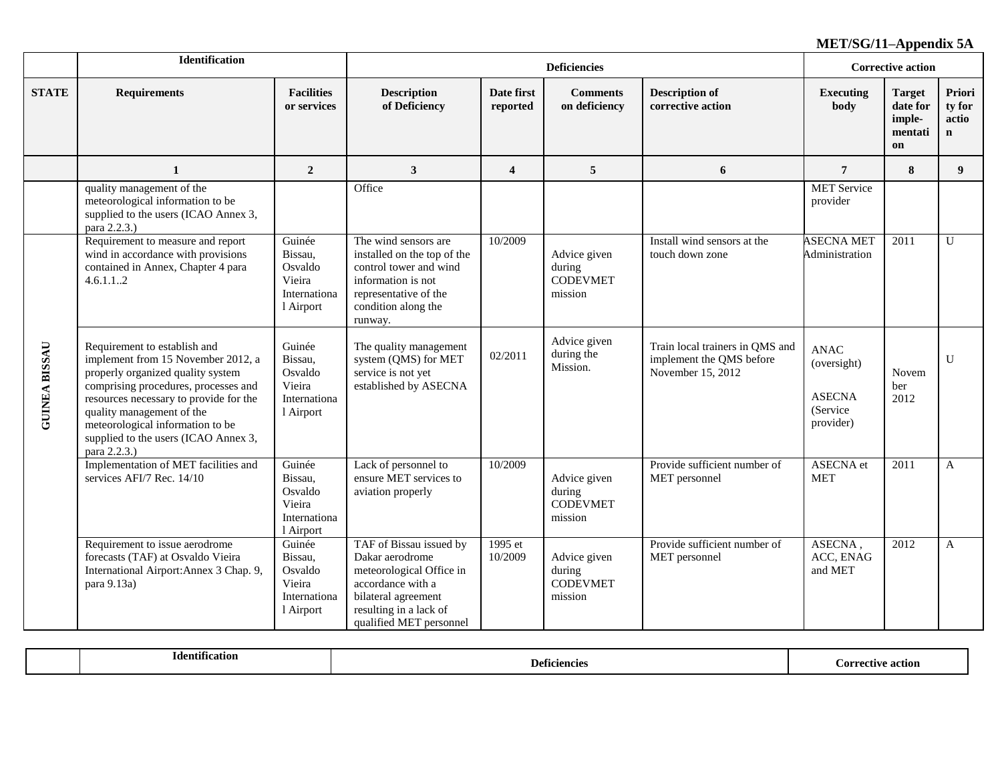|                      | Identification                                                                                                                                                                                                                                                                                                     |                                                                     |                                                                                                                                                                         |                         | <b>Deficiencies</b>                                  |                                                                                  |                                                                       | <b>Corrective action</b>                             |                                          |
|----------------------|--------------------------------------------------------------------------------------------------------------------------------------------------------------------------------------------------------------------------------------------------------------------------------------------------------------------|---------------------------------------------------------------------|-------------------------------------------------------------------------------------------------------------------------------------------------------------------------|-------------------------|------------------------------------------------------|----------------------------------------------------------------------------------|-----------------------------------------------------------------------|------------------------------------------------------|------------------------------------------|
| <b>STATE</b>         | <b>Requirements</b>                                                                                                                                                                                                                                                                                                | <b>Facilities</b><br>or services                                    | <b>Description</b><br>of Deficiency                                                                                                                                     | Date first<br>reported  | <b>Comments</b><br>on deficiency                     | <b>Description of</b><br>corrective action                                       | <b>Executing</b><br>body                                              | <b>Target</b><br>date for<br>imple-<br>mentati<br>on | Priori<br>ty for<br>actio<br>$\mathbf n$ |
|                      | $\mathbf{1}$                                                                                                                                                                                                                                                                                                       | $\boldsymbol{2}$                                                    | $\mathbf{3}$                                                                                                                                                            | $\overline{\mathbf{4}}$ | 5                                                    | 6                                                                                | $\overline{7}$                                                        | 8                                                    | 9 <sup>°</sup>                           |
|                      | quality management of the<br>meteorological information to be<br>supplied to the users (ICAO Annex 3,<br>para 2.2.3.)                                                                                                                                                                                              |                                                                     | Office                                                                                                                                                                  |                         |                                                      |                                                                                  | <b>MET</b> Service<br>provider                                        |                                                      |                                          |
|                      | Requirement to measure and report<br>wind in accordance with provisions<br>contained in Annex, Chapter 4 para<br>4.6.1.12                                                                                                                                                                                          | Guinée<br>Bissau,<br>Osvaldo<br>Vieira<br>Internationa<br>1 Airport | The wind sensors are<br>installed on the top of the<br>control tower and wind<br>information is not<br>representative of the<br>condition along the<br>runway.          | 10/2009                 | Advice given<br>during<br><b>CODEVMET</b><br>mission | Install wind sensors at the<br>touch down zone                                   | <b>ASECNA MET</b><br>Administration                                   | 2011                                                 | $\mathbf{U}$                             |
| <b>GUINEA BISSAU</b> | Requirement to establish and<br>implement from 15 November 2012, a<br>properly organized quality system<br>comprising procedures, processes and<br>resources necessary to provide for the<br>quality management of the<br>meteorological information to be<br>supplied to the users (ICAO Annex 3,<br>para 2.2.3.) | Guinée<br>Bissau,<br>Osvaldo<br>Vieira<br>Internationa<br>1 Airport | The quality management<br>system (QMS) for MET<br>service is not yet<br>established by ASECNA                                                                           | 02/2011                 | Advice given<br>during the<br>Mission.               | Train local trainers in QMS and<br>implement the QMS before<br>November 15, 2012 | <b>ANAC</b><br>(oversight)<br><b>ASECNA</b><br>(Service)<br>provider) | Novem<br>ber<br>2012                                 | $\mathbf{U}$                             |
|                      | Implementation of MET facilities and<br>services AFI/7 Rec. 14/10                                                                                                                                                                                                                                                  | Guinée<br>Bissau,<br>Osvaldo<br>Vieira<br>Internationa<br>1 Airport | Lack of personnel to<br>ensure MET services to<br>aviation properly                                                                                                     | 10/2009                 | Advice given<br>during<br><b>CODEVMET</b><br>mission | Provide sufficient number of<br>MET personnel                                    | ASECNA et<br><b>MET</b>                                               | 2011                                                 | $\mathbf{A}$                             |
|                      | Requirement to issue aerodrome<br>forecasts (TAF) at Osvaldo Vieira<br>International Airport: Annex 3 Chap. 9,<br>para 9.13a)                                                                                                                                                                                      | Guinée<br>Bissau,<br>Osvaldo<br>Vieira<br>Internationa<br>1 Airport | TAF of Bissau issued by<br>Dakar aerodrome<br>meteorological Office in<br>accordance with a<br>bilateral agreement<br>resulting in a lack of<br>qualified MET personnel | 1995 et<br>10/2009      | Advice given<br>during<br><b>CODEVMET</b><br>mission | Provide sufficient number of<br>MET personnel                                    | ASECNA,<br>ACC, ENAG<br>and MET                                       | 2012                                                 | A                                        |

| . •            |            | . Arrective |
|----------------|------------|-------------|
| Identification | 1.01030000 | action      |
|                |            |             |
|                |            |             |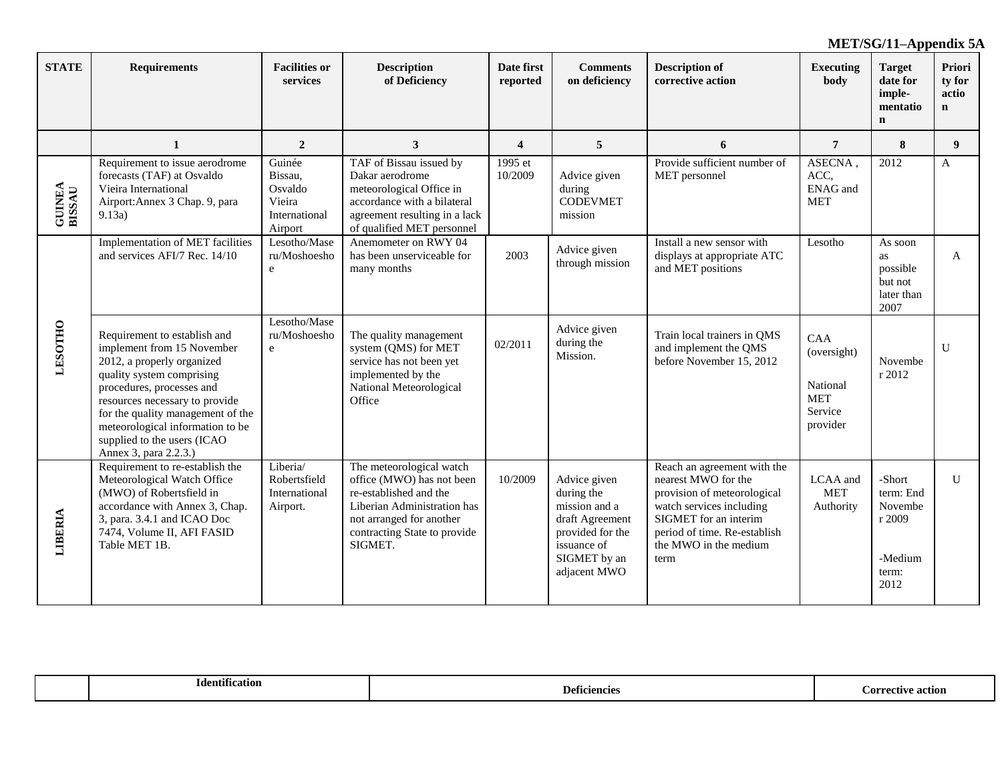| <b>STATE</b>            | <b>Requirements</b>                                                                                                                                                                                                                                                                                                   | <b>Facilities or</b><br>services                                   | <b>Description</b><br>of Deficiency                                                                                                                                                   | Date first<br>reported | <b>Comments</b><br>on deficiency                                                                                                  | <b>Description of</b><br>corrective action                                                                                                                                                              | <b>Executing</b><br>body                                            | <b>Target</b><br>date for<br>imple-<br>mentatio<br>$\mathbf n$       | Priori<br>ty for<br>actio<br>$\mathbf n$ |
|-------------------------|-----------------------------------------------------------------------------------------------------------------------------------------------------------------------------------------------------------------------------------------------------------------------------------------------------------------------|--------------------------------------------------------------------|---------------------------------------------------------------------------------------------------------------------------------------------------------------------------------------|------------------------|-----------------------------------------------------------------------------------------------------------------------------------|---------------------------------------------------------------------------------------------------------------------------------------------------------------------------------------------------------|---------------------------------------------------------------------|----------------------------------------------------------------------|------------------------------------------|
|                         | 1                                                                                                                                                                                                                                                                                                                     | $\overline{2}$                                                     | 3                                                                                                                                                                                     | $\boldsymbol{4}$       | 5                                                                                                                                 | 6                                                                                                                                                                                                       | $\overline{7}$                                                      | 8                                                                    | 9                                        |
| <b>GUINEA</b><br>BISSAU | Requirement to issue aerodrome<br>forecasts (TAF) at Osvaldo<br>Vieira International<br>Airport: Annex 3 Chap. 9, para<br>9.13a)                                                                                                                                                                                      | Guinée<br>Bissau,<br>Osvaldo<br>Vieira<br>International<br>Airport | TAF of Bissau issued by<br>Dakar aerodrome<br>meteorological Office in<br>accordance with a bilateral<br>agreement resulting in a lack<br>of qualified MET personnel                  | 1995 et<br>10/2009     | Advice given<br>during<br><b>CODEVMET</b><br>mission                                                                              | Provide sufficient number of<br>MET personnel                                                                                                                                                           | ASECNA,<br>ACC,<br><b>ENAG</b> and<br><b>MET</b>                    | 2012                                                                 | A                                        |
|                         | Implementation of MET facilities<br>and services AFI/7 Rec. 14/10                                                                                                                                                                                                                                                     | Lesotho/Mase<br>ru/Moshoesho<br>e                                  | Anemometer on RWY 04<br>has been unserviceable for<br>many months                                                                                                                     | 2003                   | Advice given<br>through mission                                                                                                   | Install a new sensor with<br>displays at appropriate ATC<br>and MET positions                                                                                                                           | Lesotho                                                             | As soon<br><b>as</b><br>possible<br>but not<br>later than<br>2007    | $\mathbf{A}$                             |
| <b>LESOTHO</b>          | Requirement to establish and<br>implement from 15 November<br>2012, a properly organized<br>quality system comprising<br>procedures, processes and<br>resources necessary to provide<br>for the quality management of the<br>meteorological information to be<br>supplied to the users (ICAO<br>Annex 3, para 2.2.3.) | Lesotho/Mase<br>ru/Moshoesho<br>$\mathbf e$                        | The quality management<br>system (QMS) for MET<br>service has not been yet<br>implemented by the<br>National Meteorological<br>Office                                                 | 02/2011                | Advice given<br>during the<br>Mission.                                                                                            | Train local trainers in QMS<br>and implement the QMS<br>before November 15, 2012                                                                                                                        | CAA<br>(oversight)<br>National<br><b>MET</b><br>Service<br>provider | Novembe<br>r 2012                                                    | $\mathbf{U}$                             |
| LIBERIA                 | Requirement to re-establish the<br>Meteorological Watch Office<br>(MWO) of Robertsfield in<br>accordance with Annex 3, Chap.<br>3, para. 3.4.1 and ICAO Doc<br>7474, Volume II, AFI FASID<br>Table MET 1B.                                                                                                            | Liberia/<br>Robertsfield<br>International<br>Airport.              | The meteorological watch<br>office (MWO) has not been<br>re-established and the<br>Liberian Administration has<br>not arranged for another<br>contracting State to provide<br>SIGMET. | 10/2009                | Advice given<br>during the<br>mission and a<br>draft Agreement<br>provided for the<br>issuance of<br>SIGMET by an<br>adjacent MWO | Reach an agreement with the<br>nearest MWO for the<br>provision of meteorological<br>watch services including<br>SIGMET for an interim<br>period of time. Re-establish<br>the MWO in the medium<br>term | LCAA and<br><b>MET</b><br>Authority                                 | -Short<br>term: End<br>Novembe<br>r 2009<br>-Medium<br>term:<br>2012 | $\mathbf{U}$                             |

| $\cdot$               |              | action  |
|-----------------------|--------------|---------|
| <b>Identification</b> | Deficiencies | YCT I V |
|                       |              | .or     |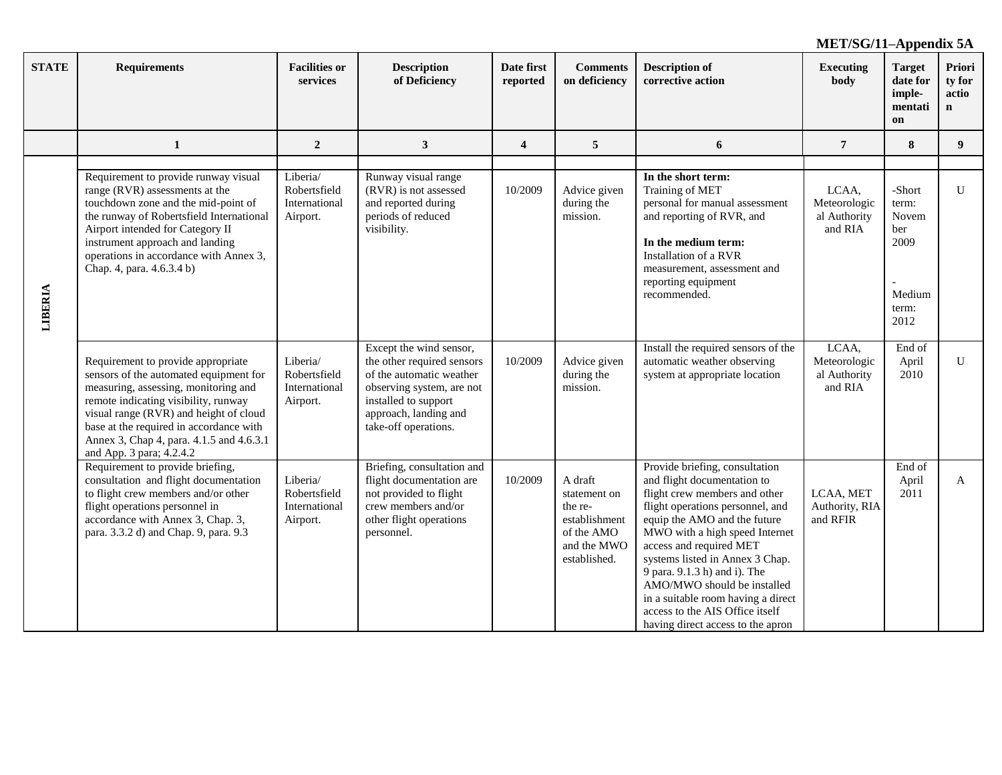| <b>STATE</b> | <b>Requirements</b>                                                                                                                                                                                                                                                                                                       | <b>Facilities or</b><br>services                      | <b>Description</b><br>of Deficiency                                                                                                                                                     | Date first<br>reported  | <b>Comments</b><br>on deficiency                                                                 | <b>Description of</b><br>corrective action                                                                                                                                                                                                                                                                                                                                                                                                      | <b>Executing</b><br>body                         | <b>Target</b><br>date for<br>imple-<br>mentati<br>on               | Priori<br>ty for<br>actio<br>n |
|--------------|---------------------------------------------------------------------------------------------------------------------------------------------------------------------------------------------------------------------------------------------------------------------------------------------------------------------------|-------------------------------------------------------|-----------------------------------------------------------------------------------------------------------------------------------------------------------------------------------------|-------------------------|--------------------------------------------------------------------------------------------------|-------------------------------------------------------------------------------------------------------------------------------------------------------------------------------------------------------------------------------------------------------------------------------------------------------------------------------------------------------------------------------------------------------------------------------------------------|--------------------------------------------------|--------------------------------------------------------------------|--------------------------------|
|              | 1                                                                                                                                                                                                                                                                                                                         | $\overline{2}$                                        | $\mathbf{3}$                                                                                                                                                                            | $\overline{\mathbf{4}}$ | 5                                                                                                | 6                                                                                                                                                                                                                                                                                                                                                                                                                                               | $\overline{7}$                                   | 8                                                                  | 9                              |
| LIBERIA      | Requirement to provide runway visual<br>range (RVR) assessments at the<br>touchdown zone and the mid-point of<br>the runway of Robertsfield International<br>Airport intended for Category II<br>instrument approach and landing<br>operations in accordance with Annex 3,<br>Chap. 4, para. 4.6.3.4 b)                   | Liberia/<br>Robertsfield<br>International<br>Airport. | Runway visual range<br>(RVR) is not assessed<br>and reported during<br>periods of reduced<br>visibility.                                                                                | 10/2009                 | Advice given<br>during the<br>mission.                                                           | In the short term:<br>Training of MET<br>personal for manual assessment<br>and reporting of RVR, and<br>In the medium term:<br>Installation of a RVR<br>measurement, assessment and<br>reporting equipment<br>recommended.                                                                                                                                                                                                                      | LCAA,<br>Meteorologic<br>al Authority<br>and RIA | -Short<br>term:<br>Novem<br>ber<br>2009<br>Medium<br>term:<br>2012 | $\mathbf{U}$                   |
|              | Requirement to provide appropriate<br>sensors of the automated equipment for<br>measuring, assessing, monitoring and<br>remote indicating visibility, runway<br>visual range (RVR) and height of cloud<br>base at the required in accordance with<br>Annex 3, Chap 4, para. 4.1.5 and 4.6.3.1<br>and App. 3 para; 4.2.4.2 | Liberia/<br>Robertsfield<br>International<br>Airport. | Except the wind sensor,<br>the other required sensors<br>of the automatic weather<br>observing system, are not<br>installed to support<br>approach, landing and<br>take-off operations. | 10/2009                 | Advice given<br>during the<br>mission.                                                           | Install the required sensors of the<br>automatic weather observing<br>system at appropriate location                                                                                                                                                                                                                                                                                                                                            | LCAA,<br>Meteorologic<br>al Authority<br>and RIA | End of<br>April<br>2010                                            | U                              |
|              | Requirement to provide briefing,<br>consultation and flight documentation<br>to flight crew members and/or other<br>flight operations personnel in<br>accordance with Annex 3, Chap. 3,<br>para. 3.3.2 d) and Chap. 9, para. 9.3                                                                                          | Liberia/<br>Robertsfield<br>International<br>Airport. | Briefing, consultation and<br>flight documentation are<br>not provided to flight<br>crew members and/or<br>other flight operations<br>personnel.                                        | 10/2009                 | A draft<br>statement on<br>the re-<br>establishment<br>of the AMO<br>and the MWO<br>established. | Provide briefing, consultation<br>and flight documentation to<br>flight crew members and other<br>flight operations personnel, and<br>equip the AMO and the future<br>MWO with a high speed Internet<br>access and required MET<br>systems listed in Annex 3 Chap.<br>9 para. 9.1.3 h) and i). The<br>AMO/MWO should be installed<br>in a suitable room having a direct<br>access to the AIS Office itself<br>having direct access to the apron | LCAA, MET<br>Authority, RIA<br>and RFIR          | End of<br>April<br>2011                                            | A                              |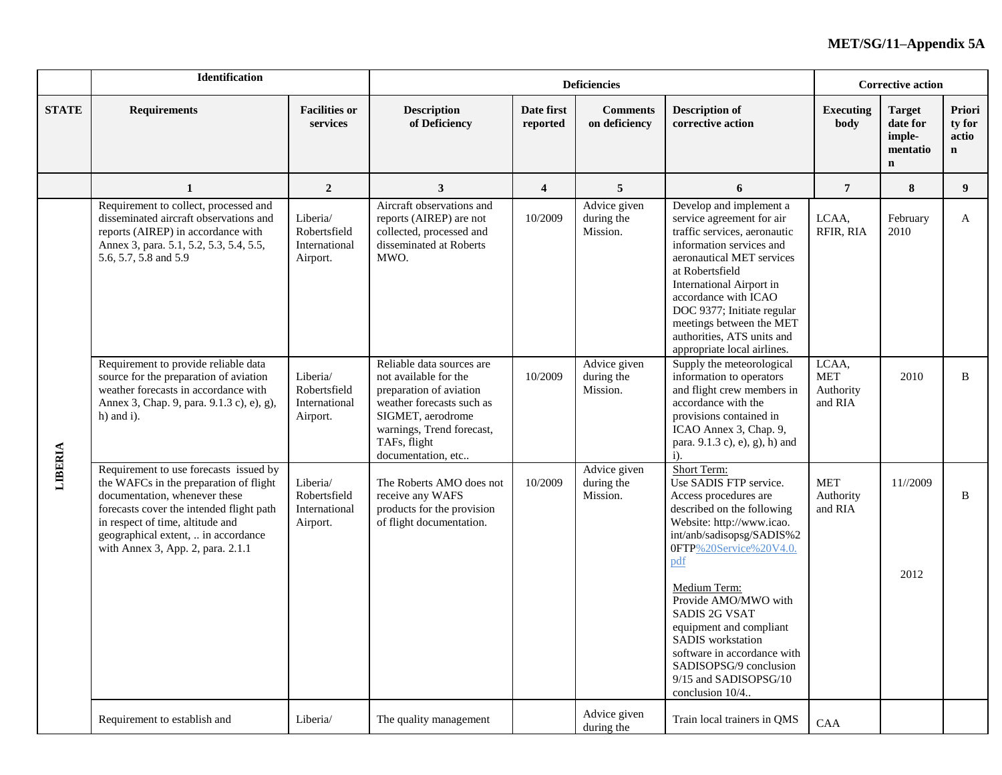|              | Identification                                                                                                                                                                                                                                                                |                                                       |                                                                                                                                                                                                    |                        | <b>Deficiencies</b>                    |                                                                                                                                                                                                                                                                                                                                                                                                              |                                             | <b>Corrective action</b>                                       |                                          |
|--------------|-------------------------------------------------------------------------------------------------------------------------------------------------------------------------------------------------------------------------------------------------------------------------------|-------------------------------------------------------|----------------------------------------------------------------------------------------------------------------------------------------------------------------------------------------------------|------------------------|----------------------------------------|--------------------------------------------------------------------------------------------------------------------------------------------------------------------------------------------------------------------------------------------------------------------------------------------------------------------------------------------------------------------------------------------------------------|---------------------------------------------|----------------------------------------------------------------|------------------------------------------|
| <b>STATE</b> | <b>Requirements</b>                                                                                                                                                                                                                                                           | <b>Facilities or</b><br>services                      | <b>Description</b><br>of Deficiency                                                                                                                                                                | Date first<br>reported | <b>Comments</b><br>on deficiency       | <b>Description of</b><br>corrective action                                                                                                                                                                                                                                                                                                                                                                   | <b>Executing</b><br>body                    | <b>Target</b><br>date for<br>imple-<br>mentatio<br>$\mathbf n$ | Priori<br>ty for<br>actio<br>$\mathbf n$ |
|              | 1                                                                                                                                                                                                                                                                             | $\overline{2}$                                        | 3                                                                                                                                                                                                  | $\overline{4}$         | 5                                      | 6                                                                                                                                                                                                                                                                                                                                                                                                            | $\overline{7}$                              | 8                                                              | $\boldsymbol{9}$                         |
|              | Requirement to collect, processed and<br>disseminated aircraft observations and<br>reports (AIREP) in accordance with<br>Annex 3, para. 5.1, 5.2, 5.3, 5.4, 5.5,<br>5.6, 5.7, 5.8 and 5.9                                                                                     | Liberia/<br>Robertsfield<br>International<br>Airport. | Aircraft observations and<br>reports (AIREP) are not<br>collected, processed and<br>disseminated at Roberts<br>MWO.                                                                                | 10/2009                | Advice given<br>during the<br>Mission. | Develop and implement a<br>service agreement for air<br>traffic services, aeronautic<br>information services and<br>aeronautical MET services<br>at Robertsfield<br>International Airport in<br>accordance with ICAO<br>DOC 9377; Initiate regular<br>meetings between the MET<br>authorities, ATS units and<br>appropriate local airlines.                                                                  | LCAA,<br>RFIR, RIA                          | February<br>2010                                               | $\bf{A}$                                 |
|              | Requirement to provide reliable data<br>source for the preparation of aviation<br>weather forecasts in accordance with<br>Annex 3, Chap. 9, para. 9.1.3 c), e), g),<br>$h)$ and i).                                                                                           | Liberia/<br>Robertsfield<br>International<br>Airport. | Reliable data sources are<br>not available for the<br>preparation of aviation<br>weather forecasts such as<br>SIGMET, aerodrome<br>warnings, Trend forecast,<br>TAFs, flight<br>documentation, etc | 10/2009                | Advice given<br>during the<br>Mission. | Supply the meteorological<br>information to operators<br>and flight crew members in<br>accordance with the<br>provisions contained in<br>ICAO Annex 3, Chap. 9,<br>para. 9.1.3 c), e), g), h) and<br>$\mathbf{i}$ .                                                                                                                                                                                          | LCAA,<br><b>MET</b><br>Authority<br>and RIA | 2010                                                           | B                                        |
| LIBERIA      | Requirement to use forecasts issued by<br>the WAFCs in the preparation of flight<br>documentation, whenever these<br>forecasts cover the intended flight path<br>in respect of time, altitude and<br>geographical extent,  in accordance<br>with Annex 3, App. 2, para. 2.1.1 | Liberia/<br>Robertsfield<br>International<br>Airport. | The Roberts AMO does not<br>receive any WAFS<br>products for the provision<br>of flight documentation.                                                                                             | 10/2009                | Advice given<br>during the<br>Mission. | Short Term:<br>Use SADIS FTP service.<br>Access procedures are<br>described on the following<br>Website: http://www.icao.<br>int/anb/sadisopsg/SADIS%2<br>0FTP%20Service%20V4.0.<br>pdf<br>Medium Term:<br>Provide AMO/MWO with<br><b>SADIS 2G VSAT</b><br>equipment and compliant<br>SADIS workstation<br>software in accordance with<br>SADISOPSG/9 conclusion<br>9/15 and SADISOPSG/10<br>conclusion 10/4 | <b>MET</b><br>Authority<br>and RIA          | 11//2009<br>2012                                               | B                                        |
|              | Requirement to establish and                                                                                                                                                                                                                                                  | Liberia/                                              | The quality management                                                                                                                                                                             |                        | Advice given<br>during the             | Train local trainers in QMS                                                                                                                                                                                                                                                                                                                                                                                  | CAA                                         |                                                                |                                          |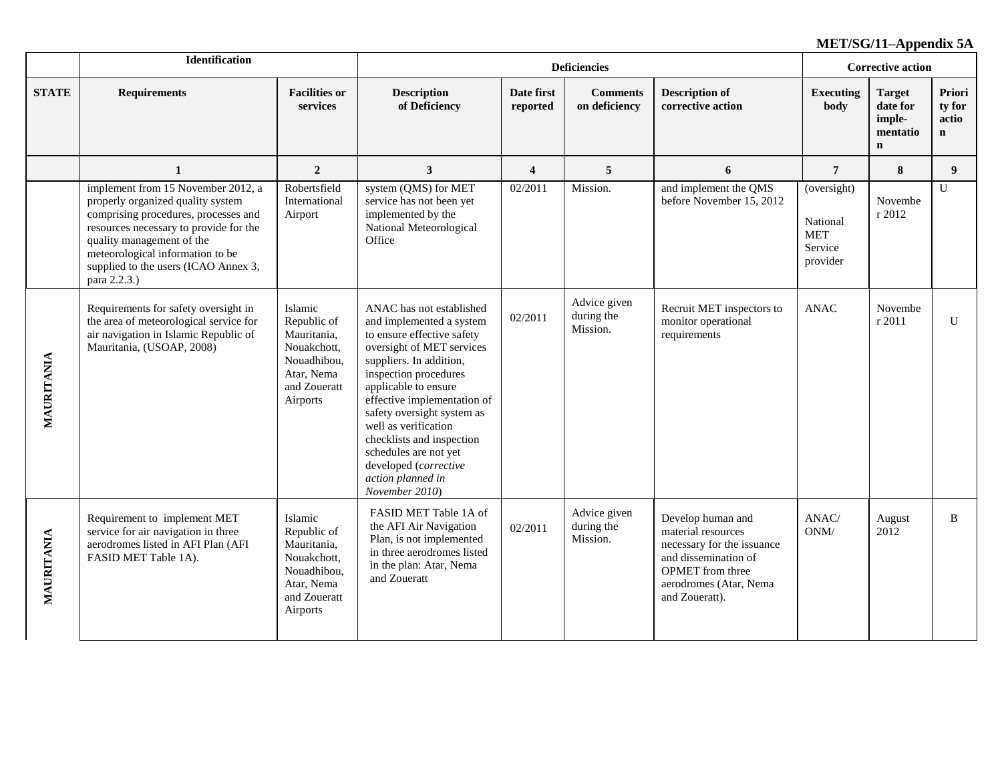|              | <b>Identification</b>                                                                                                                                                                                                                                                              |                                                                                                               |                                                                                                                                                                                                                                                                                                                                                                                                        |                         | <b>Deficiencies</b>                    |                                                                                                                                                                      |                                                       | <b>Corrective action</b>                                       |                                                  |
|--------------|------------------------------------------------------------------------------------------------------------------------------------------------------------------------------------------------------------------------------------------------------------------------------------|---------------------------------------------------------------------------------------------------------------|--------------------------------------------------------------------------------------------------------------------------------------------------------------------------------------------------------------------------------------------------------------------------------------------------------------------------------------------------------------------------------------------------------|-------------------------|----------------------------------------|----------------------------------------------------------------------------------------------------------------------------------------------------------------------|-------------------------------------------------------|----------------------------------------------------------------|--------------------------------------------------|
| <b>STATE</b> | <b>Requirements</b>                                                                                                                                                                                                                                                                | <b>Facilities or</b><br>services                                                                              | <b>Description</b><br>of Deficiency                                                                                                                                                                                                                                                                                                                                                                    | Date first<br>reported  | <b>Comments</b><br>on deficiency       | <b>Description of</b><br>corrective action                                                                                                                           | Executing<br>body                                     | <b>Target</b><br>date for<br>imple-<br>mentatio<br>$\mathbf n$ | <b>Priori</b><br>ty for<br>actio<br>$\mathbf{n}$ |
|              | 1                                                                                                                                                                                                                                                                                  | $\overline{2}$                                                                                                | $\mathbf{3}$                                                                                                                                                                                                                                                                                                                                                                                           | $\overline{\mathbf{4}}$ | 5                                      | 6                                                                                                                                                                    | $7\phantom{.0}$                                       | 8                                                              | 9                                                |
|              | implement from 15 November 2012, a<br>properly organized quality system<br>comprising procedures, processes and<br>resources necessary to provide for the<br>quality management of the<br>meteorological information to be<br>supplied to the users (ICAO Annex 3,<br>para 2.2.3.) | Robertsfield<br>International<br>Airport                                                                      | system (QMS) for MET<br>service has not been yet<br>implemented by the<br>National Meteorological<br>Office                                                                                                                                                                                                                                                                                            | 02/2011                 | Mission.                               | and implement the QMS<br>before November 15, 2012                                                                                                                    | (oversight)<br>National<br>MET<br>Service<br>provider | Novembe<br>r 2012                                              | U                                                |
| MAURITANIA   | Requirements for safety oversight in<br>the area of meteorological service for<br>air navigation in Islamic Republic of<br>Mauritania, (USOAP, 2008)                                                                                                                               | Islamic<br>Republic of<br>Mauritania,<br>Nouakchott,<br>Nouadhibou,<br>Atar, Nema<br>and Zoueratt<br>Airports | ANAC has not established<br>and implemented a system<br>to ensure effective safety<br>oversight of MET services<br>suppliers. In addition,<br>inspection procedures<br>applicable to ensure<br>effective implementation of<br>safety oversight system as<br>well as verification<br>checklists and inspection<br>schedules are not yet<br>developed (corrective<br>action planned in<br>November 2010) | 02/2011                 | Advice given<br>during the<br>Mission. | Recruit MET inspectors to<br>monitor operational<br>requirements                                                                                                     | <b>ANAC</b>                                           | Novembe<br>r 2011                                              | U                                                |
| MAURITANIA   | Requirement to implement MET<br>service for air navigation in three<br>aerodromes listed in AFI Plan (AFI<br>FASID MET Table 1A).                                                                                                                                                  | Islamic<br>Republic of<br>Mauritania,<br>Nouakchott,<br>Nouadhibou,<br>Atar, Nema<br>and Zoueratt<br>Airports | FASID MET Table 1A of<br>the AFI Air Navigation<br>Plan, is not implemented<br>in three aerodromes listed<br>in the plan: Atar, Nema<br>and Zoueratt                                                                                                                                                                                                                                                   | 02/2011                 | Advice given<br>during the<br>Mission. | Develop human and<br>material resources<br>necessary for the issuance<br>and dissemination of<br><b>OPMET</b> from three<br>aerodromes (Atar, Nema<br>and Zoueratt). | ANAC/<br>ONM/                                         | August<br>2012                                                 | B                                                |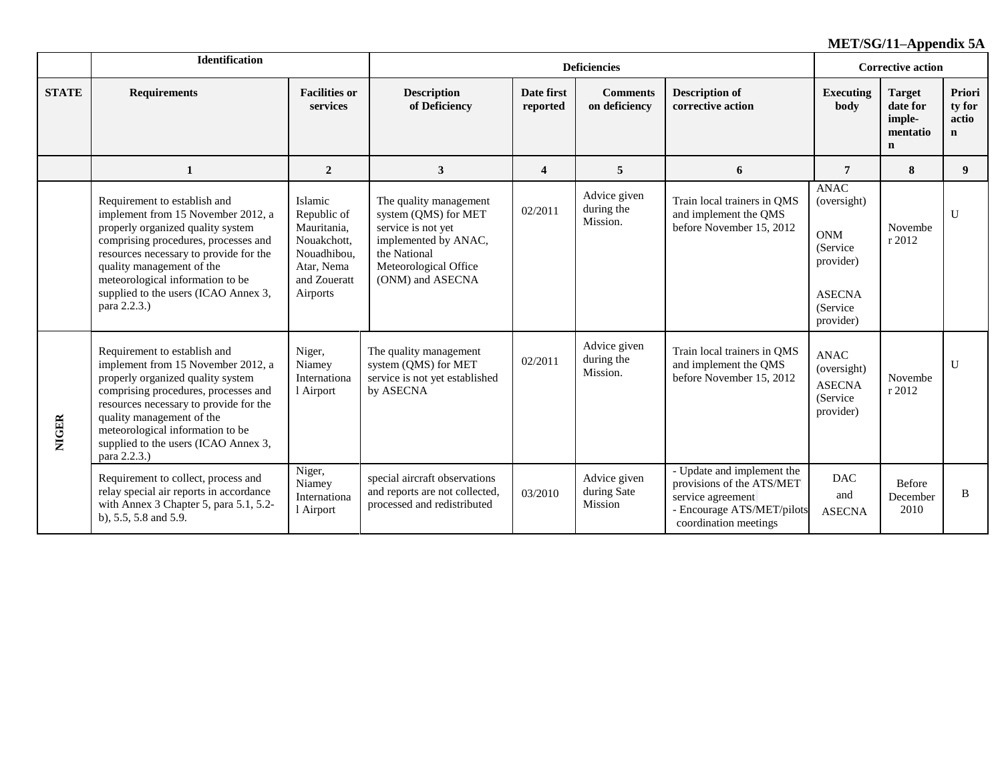|              | <b>Identification</b>                                                                                                                                                                                                                                                                                              |                                                                                                               |                                                                                                                                                           |                        | <b>Deficiencies</b>                    |                                                                                                                                     | <b>Corrective action</b>                                                                                      |                                                                |                                          |  |
|--------------|--------------------------------------------------------------------------------------------------------------------------------------------------------------------------------------------------------------------------------------------------------------------------------------------------------------------|---------------------------------------------------------------------------------------------------------------|-----------------------------------------------------------------------------------------------------------------------------------------------------------|------------------------|----------------------------------------|-------------------------------------------------------------------------------------------------------------------------------------|---------------------------------------------------------------------------------------------------------------|----------------------------------------------------------------|------------------------------------------|--|
| <b>STATE</b> | <b>Requirements</b>                                                                                                                                                                                                                                                                                                | <b>Facilities or</b><br>services                                                                              | <b>Description</b><br>of Deficiency                                                                                                                       | Date first<br>reported | <b>Comments</b><br>on deficiency       | <b>Description of</b><br>corrective action                                                                                          | <b>Executing</b><br>body                                                                                      | <b>Target</b><br>date for<br>imple-<br>mentatio<br>$\mathbf n$ | Priori<br>ty for<br>actio<br>$\mathbf n$ |  |
|              | 1                                                                                                                                                                                                                                                                                                                  | $\overline{2}$                                                                                                | $\mathbf{3}$                                                                                                                                              | 4                      | 5                                      | 6                                                                                                                                   | 7                                                                                                             | 8                                                              | 9                                        |  |
|              | Requirement to establish and<br>implement from 15 November 2012, a<br>properly organized quality system<br>comprising procedures, processes and<br>resources necessary to provide for the<br>quality management of the<br>meteorological information to be<br>supplied to the users (ICAO Annex 3,<br>para 2.2.3.) | Islamic<br>Republic of<br>Mauritania,<br>Nouakchott,<br>Nouadhibou,<br>Atar, Nema<br>and Zoueratt<br>Airports | The quality management<br>system (QMS) for MET<br>service is not yet<br>implemented by ANAC,<br>the National<br>Meteorological Office<br>(ONM) and ASECNA | 02/2011                | Advice given<br>during the<br>Mission. | Train local trainers in QMS<br>and implement the QMS<br>before November 15, 2012                                                    | <b>ANAC</b><br>(oversight)<br><b>ONM</b><br>(Service)<br>provider)<br><b>ASECNA</b><br>(Service)<br>provider) | Novembe<br>r 2012                                              | U                                        |  |
| <b>NIGER</b> | Requirement to establish and<br>implement from 15 November 2012, a<br>properly organized quality system<br>comprising procedures, processes and<br>resources necessary to provide for the<br>quality management of the<br>meteorological information to be<br>supplied to the users (ICAO Annex 3,<br>para 2.2.3.) | Niger,<br>Niamey<br>Internationa<br>l Airport                                                                 | The quality management<br>system (QMS) for MET<br>service is not yet established<br>by ASECNA                                                             | 02/2011                | Advice given<br>during the<br>Mission. | Train local trainers in QMS<br>and implement the QMS<br>before November 15, 2012                                                    | <b>ANAC</b><br>(oversight)<br><b>ASECNA</b><br>(Service<br>provider)                                          | Novembe<br>r 2012                                              | U                                        |  |
|              | Requirement to collect, process and<br>relay special air reports in accordance<br>with Annex 3 Chapter 5, para 5.1, 5.2-<br>b), 5.5, 5.8 and 5.9.                                                                                                                                                                  | Niger,<br>Niamey<br>Internationa<br>Airport                                                                   | special aircraft observations<br>and reports are not collected,<br>processed and redistributed                                                            | 03/2010                | Advice given<br>during Sate<br>Mission | - Update and implement the<br>provisions of the ATS/MET<br>service agreement<br>- Encourage ATS/MET/pilots<br>coordination meetings | <b>DAC</b><br>and<br><b>ASECNA</b>                                                                            | Before<br>December<br>2010                                     | B                                        |  |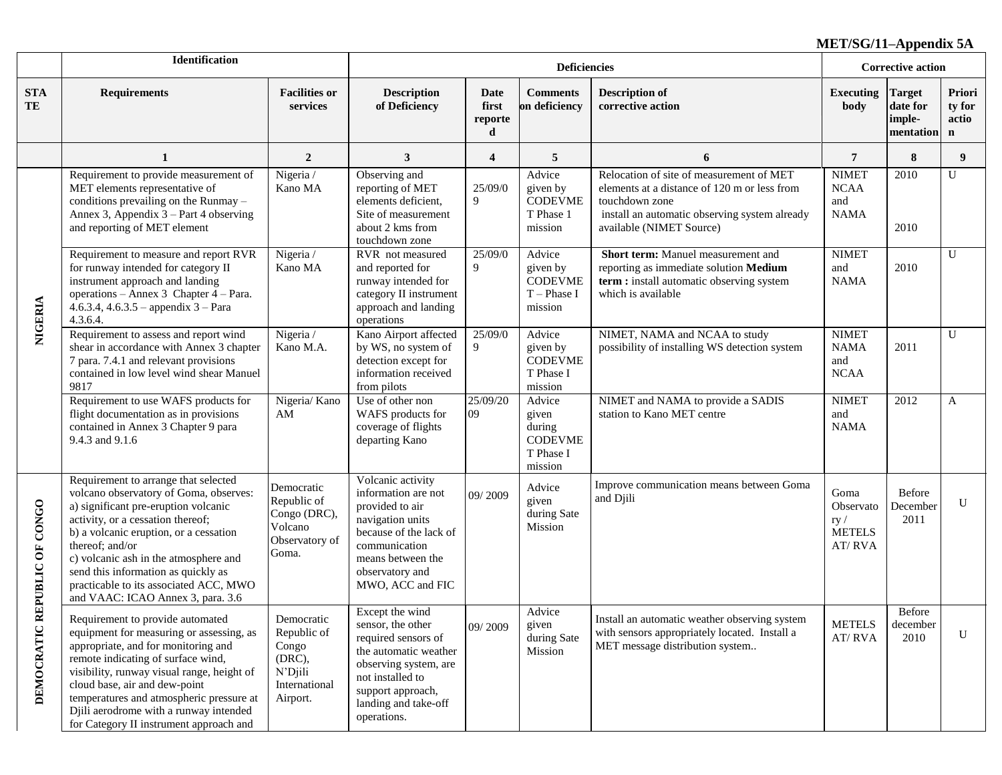|                                 | <b>Identification</b>                                                                                                                                                                                                                                                                                                                                                                   |                                                                                      |                                                                                                                                                                                               |                                      | <b>Deficiencies</b>                                                 |                                                                                                                                                                                         | <b>Corrective action</b>                            |                                                  |                                          |
|---------------------------------|-----------------------------------------------------------------------------------------------------------------------------------------------------------------------------------------------------------------------------------------------------------------------------------------------------------------------------------------------------------------------------------------|--------------------------------------------------------------------------------------|-----------------------------------------------------------------------------------------------------------------------------------------------------------------------------------------------|--------------------------------------|---------------------------------------------------------------------|-----------------------------------------------------------------------------------------------------------------------------------------------------------------------------------------|-----------------------------------------------------|--------------------------------------------------|------------------------------------------|
| <b>STA</b><br>TE                | <b>Requirements</b>                                                                                                                                                                                                                                                                                                                                                                     | <b>Facilities or</b><br>services                                                     | <b>Description</b><br>of Deficiency                                                                                                                                                           | <b>Date</b><br>first<br>reporte<br>d | <b>Comments</b><br>on deficiency                                    | <b>Description of</b><br>corrective action                                                                                                                                              | <b>Executing</b><br>body                            | <b>Target</b><br>date for<br>imple-<br>mentation | Priori<br>ty for<br>actio<br>$\mathbf n$ |
|                                 | $\mathbf{1}$                                                                                                                                                                                                                                                                                                                                                                            | $\overline{2}$                                                                       | 3                                                                                                                                                                                             | $\overline{\mathbf{4}}$              | 5                                                                   | 6                                                                                                                                                                                       | $\overline{7}$                                      | 8                                                | $\boldsymbol{9}$                         |
|                                 | Requirement to provide measurement of<br>MET elements representative of<br>conditions prevailing on the Runmay -<br>Annex 3, Appendix 3 – Part 4 observing<br>and reporting of MET element                                                                                                                                                                                              | Nigeria /<br>Kano MA                                                                 | Observing and<br>reporting of MET<br>elements deficient,<br>Site of measurement<br>about 2 kms from<br>touchdown zone                                                                         | 25/09/0<br>9                         | Advice<br>given by<br><b>CODEVME</b><br>T Phase 1<br>mission        | Relocation of site of measurement of MET<br>elements at a distance of 120 m or less from<br>touchdown zone<br>install an automatic observing system already<br>available (NIMET Source) | <b>NIMET</b><br><b>NCAA</b><br>and<br><b>NAMA</b>   | 2010<br>2010                                     | U                                        |
| NIGERIA                         | Requirement to measure and report RVR<br>for runway intended for category II<br>instrument approach and landing<br>operations - Annex 3 Chapter 4 - Para.<br>4.6.3.4, 4.6.3.5 - appendix $3$ - Para<br>4.3.6.4.                                                                                                                                                                         | Nigeria /<br>Kano MA                                                                 | RVR not measured<br>and reported for<br>runway intended for<br>category II instrument<br>approach and landing<br>operations                                                                   | 25/09/0<br>9                         | Advice<br>given by<br><b>CODEVME</b><br>$T$ – Phase I<br>mission    | Short term: Manuel measurement and<br>reporting as immediate solution Medium<br>term: install automatic observing system<br>which is available                                          | <b>NIMET</b><br>and<br><b>NAMA</b>                  | 2010                                             | U                                        |
| REPUBLIC OF CONGO<br>DEMOCRATIC | Requirement to assess and report wind<br>shear in accordance with Annex 3 chapter<br>7 para. 7.4.1 and relevant provisions<br>contained in low level wind shear Manuel<br>9817                                                                                                                                                                                                          | Nigeria /<br>Kano M.A.                                                               | Kano Airport affected<br>by WS, no system of<br>detection except for<br>information received<br>from pilots                                                                                   | 25/09/0<br>9                         | Advice<br>given by<br><b>CODEVME</b><br>T Phase I<br>mission        | NIMET, NAMA and NCAA to study<br>possibility of installing WS detection system                                                                                                          | <b>NIMET</b><br><b>NAMA</b><br>and<br><b>NCAA</b>   | 2011                                             | $\mathbf{U}$                             |
|                                 | Requirement to use WAFS products for<br>flight documentation as in provisions<br>contained in Annex 3 Chapter 9 para<br>9.4.3 and 9.1.6                                                                                                                                                                                                                                                 | Nigeria/ Kano<br>AM                                                                  | Use of other non<br>WAFS products for<br>coverage of flights<br>departing Kano                                                                                                                | 25/09/20<br>09                       | Advice<br>given<br>during<br><b>CODEVME</b><br>T Phase I<br>mission | NIMET and NAMA to provide a SADIS<br>station to Kano MET centre                                                                                                                         | <b>NIMET</b><br>and<br><b>NAMA</b>                  | 2012                                             | A                                        |
|                                 | Requirement to arrange that selected<br>volcano observatory of Goma, observes:<br>a) significant pre-eruption volcanic<br>activity, or a cessation thereof;<br>b) a volcanic eruption, or a cessation<br>thereof; and/or<br>c) volcanic ash in the atmosphere and<br>send this information as quickly as<br>practicable to its associated ACC, MWO<br>and VAAC: ICAO Annex 3, para. 3.6 | Democratic<br>Republic of<br>Congo (DRC),<br>Volcano<br>Observatory of<br>Goma.      | Volcanic activity<br>information are not<br>provided to air<br>navigation units<br>because of the lack of<br>communication<br>means between the<br>observatory and<br>MWO, ACC and FIC        | 09/2009                              | Advice<br>given<br>during Sate<br>Mission                           | Improve communication means between Goma<br>and Djili                                                                                                                                   | Goma<br>Observato<br>ry/<br><b>METELS</b><br>AT/RVA | Before<br>December<br>2011                       | U                                        |
|                                 | Requirement to provide automated<br>equipment for measuring or assessing, as<br>appropriate, and for monitoring and<br>remote indicating of surface wind,<br>visibility, runway visual range, height of<br>cloud base, air and dew-point<br>temperatures and atmospheric pressure at<br>Djili aerodrome with a runway intended<br>for Category II instrument approach and               | Democratic<br>Republic of<br>Congo<br>(DRC),<br>N'Djili<br>International<br>Airport. | Except the wind<br>sensor, the other<br>required sensors of<br>the automatic weather<br>observing system, are<br>not installed to<br>support approach,<br>landing and take-off<br>operations. | 09/2009                              | Advice<br>given<br>during Sate<br>Mission                           | Install an automatic weather observing system<br>with sensors appropriately located. Install a<br>MET message distribution system                                                       | <b>METELS</b><br>AT/RVA                             | Before<br>december<br>2010                       | U                                        |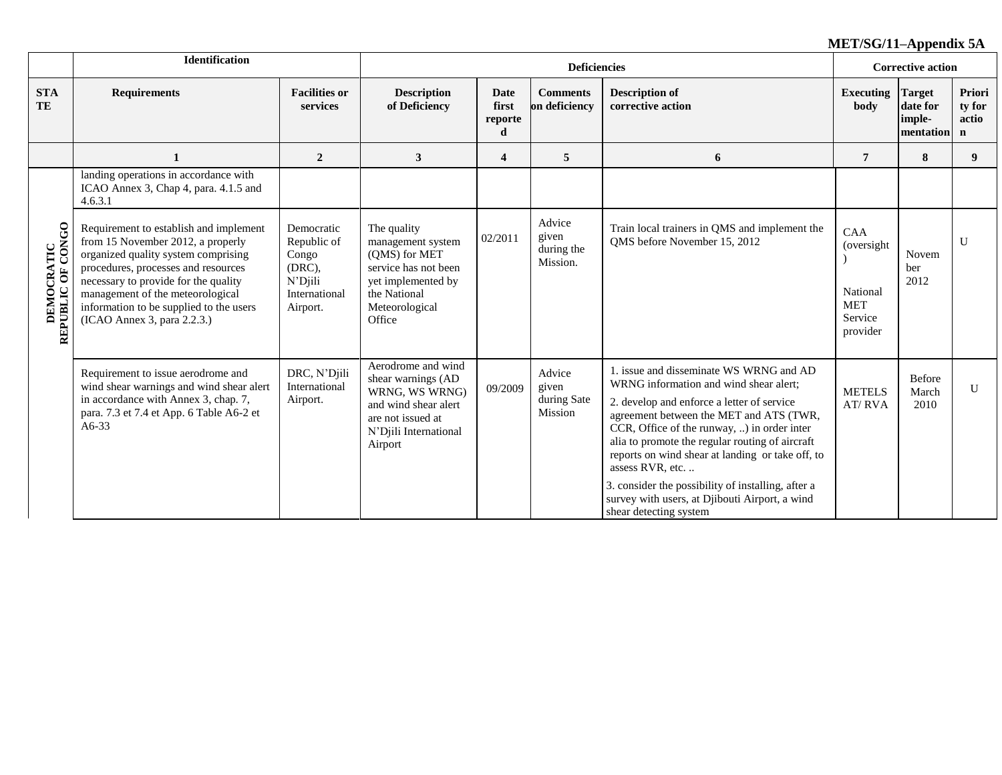|                                         | Identification                                                                                                                                                                                                                                                                                                  |                                                                                      |                                                                                                                                             |                               | <b>Deficiencies</b>                       |                                                                                                                                                                                                                                                                                                                                                                                                                                                                                        | <b>Corrective action</b>                                           |                                                  |                                          |
|-----------------------------------------|-----------------------------------------------------------------------------------------------------------------------------------------------------------------------------------------------------------------------------------------------------------------------------------------------------------------|--------------------------------------------------------------------------------------|---------------------------------------------------------------------------------------------------------------------------------------------|-------------------------------|-------------------------------------------|----------------------------------------------------------------------------------------------------------------------------------------------------------------------------------------------------------------------------------------------------------------------------------------------------------------------------------------------------------------------------------------------------------------------------------------------------------------------------------------|--------------------------------------------------------------------|--------------------------------------------------|------------------------------------------|
| <b>STA</b><br>TE                        | <b>Requirements</b>                                                                                                                                                                                                                                                                                             | <b>Facilities or</b><br>services                                                     | <b>Description</b><br>of Deficiency                                                                                                         | Date<br>first<br>reporte<br>d | <b>Comments</b><br>on deficiency          | <b>Description of</b><br>corrective action                                                                                                                                                                                                                                                                                                                                                                                                                                             | <b>Executing</b><br>body                                           | <b>Target</b><br>date for<br>imple-<br>mentation | Priori<br>ty for<br>actio<br>$\mathbf n$ |
|                                         |                                                                                                                                                                                                                                                                                                                 | $\overline{2}$                                                                       | $\mathbf{3}$                                                                                                                                | $\overline{\mathbf{4}}$       | 5                                         | 6                                                                                                                                                                                                                                                                                                                                                                                                                                                                                      | $\overline{7}$                                                     | 8                                                | 9                                        |
|                                         | landing operations in accordance with<br>ICAO Annex 3, Chap 4, para. 4.1.5 and<br>4.6.3.1                                                                                                                                                                                                                       |                                                                                      |                                                                                                                                             |                               |                                           |                                                                                                                                                                                                                                                                                                                                                                                                                                                                                        |                                                                    |                                                  |                                          |
| <b>DEMOCRATIC<br/>REPUBLIC OF CONGO</b> | Requirement to establish and implement<br>from 15 November 2012, a properly<br>organized quality system comprising<br>procedures, processes and resources<br>necessary to provide for the quality<br>management of the meteorological<br>information to be supplied to the users<br>(ICAO Annex 3, para 2.2.3.) | Democratic<br>Republic of<br>Congo<br>(DRC),<br>N'Djili<br>International<br>Airport. | The quality<br>management system<br>(QMS) for MET<br>service has not been<br>yet implemented by<br>the National<br>Meteorological<br>Office | 02/2011                       | Advice<br>given<br>during the<br>Mission. | Train local trainers in QMS and implement the<br>QMS before November 15, 2012                                                                                                                                                                                                                                                                                                                                                                                                          | CAA<br>(oversight<br>National<br><b>MET</b><br>Service<br>provider | Novem<br>ber<br>2012                             | $\mathbf{U}$                             |
|                                         | Requirement to issue aerodrome and<br>wind shear warnings and wind shear alert<br>in accordance with Annex 3, chap. 7,<br>para. 7.3 et 7.4 et App. 6 Table A6-2 et<br>$A6-33$                                                                                                                                   | DRC, N'Djili<br>International<br>Airport.                                            | Aerodrome and wind<br>shear warnings (AD<br>WRNG, WS WRNG)<br>and wind shear alert<br>are not issued at<br>N'Djili International<br>Airport | 09/2009                       | Advice<br>given<br>during Sate<br>Mission | 1. issue and disseminate WS WRNG and AD<br>WRNG information and wind shear alert;<br>2. develop and enforce a letter of service<br>agreement between the MET and ATS (TWR,<br>CCR, Office of the runway, ) in order inter<br>alia to promote the regular routing of aircraft<br>reports on wind shear at landing or take off, to<br>assess RVR, etc.<br>3. consider the possibility of installing, after a<br>survey with users, at Djibouti Airport, a wind<br>shear detecting system | <b>METELS</b><br>AT/RVA                                            | Before<br>March<br>2010                          | U                                        |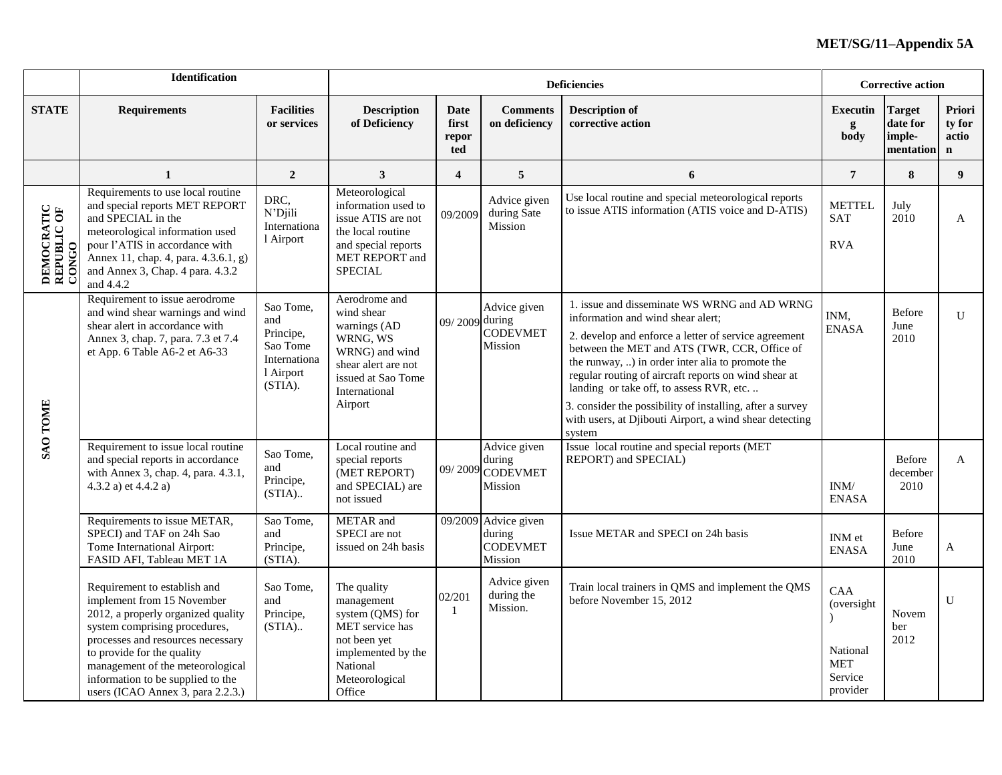|                                            | Identification                                                                                                                                                                                                                                                                                                     |                                                                                   |                                                                                                                                                    |                               |                                                              | <b>Deficiencies</b>                                                                                                                                                                                                                                                                                                                                                                                                                                                                 | <b>Corrective action</b>                                            |                                                  |                                           |
|--------------------------------------------|--------------------------------------------------------------------------------------------------------------------------------------------------------------------------------------------------------------------------------------------------------------------------------------------------------------------|-----------------------------------------------------------------------------------|----------------------------------------------------------------------------------------------------------------------------------------------------|-------------------------------|--------------------------------------------------------------|-------------------------------------------------------------------------------------------------------------------------------------------------------------------------------------------------------------------------------------------------------------------------------------------------------------------------------------------------------------------------------------------------------------------------------------------------------------------------------------|---------------------------------------------------------------------|--------------------------------------------------|-------------------------------------------|
| <b>STATE</b>                               | <b>Requirements</b>                                                                                                                                                                                                                                                                                                | <b>Facilities</b><br>or services                                                  | <b>Description</b><br>of Deficiency                                                                                                                | Date<br>first<br>repor<br>ted | <b>Comments</b><br>on deficiency                             | <b>Description of</b><br>corrective action                                                                                                                                                                                                                                                                                                                                                                                                                                          | <b>Executin</b><br>g<br>body                                        | <b>Target</b><br>date for<br>imple-<br>mentation | Priori<br>ty for<br>actio<br>$\mathbf{n}$ |
|                                            | $\mathbf{1}$                                                                                                                                                                                                                                                                                                       | $\overline{2}$                                                                    | $\mathbf{3}$                                                                                                                                       | $\overline{\mathbf{4}}$       | 5                                                            | 6                                                                                                                                                                                                                                                                                                                                                                                                                                                                                   | $\overline{7}$                                                      | 8                                                | 9                                         |
| <b>DEMOCRATIC<br/>REPUBLIC OF</b><br>CONGO | Requirements to use local routine<br>and special reports MET REPORT<br>and SPECIAL in the<br>meteorological information used<br>pour l'ATIS in accordance with<br>Annex 11, chap. 4, para. 4.3.6.1, g)<br>and Annex 3, Chap. 4 para. 4.3.2<br>and 4.4.2                                                            | DRC,<br>N'Djili<br>Internationa<br>1 Airport                                      | Meteorological<br>information used to<br>issue ATIS are not<br>the local routine<br>and special reports<br>MET REPORT and<br><b>SPECIAL</b>        | 09/2009                       | Advice given<br>during Sate<br>Mission                       | Use local routine and special meteorological reports<br>to issue ATIS information (ATIS voice and D-ATIS)                                                                                                                                                                                                                                                                                                                                                                           | <b>METTEL</b><br><b>SAT</b><br><b>RVA</b>                           | July<br>2010                                     | A                                         |
| SAO TOME                                   | Requirement to issue aerodrome<br>and wind shear warnings and wind<br>shear alert in accordance with<br>Annex 3, chap. 7, para. 7.3 et 7.4<br>et App. 6 Table A6-2 et A6-33                                                                                                                                        | Sao Tome,<br>and<br>Principe,<br>Sao Tome<br>Internationa<br>l Airport<br>(STIA). | Aerodrome and<br>wind shear<br>warnings (AD<br>WRNG, WS<br>WRNG) and wind<br>shear alert are not<br>issued at Sao Tome<br>International<br>Airport | 09/2009 during                | Advice given<br><b>CODEVMET</b><br>Mission                   | 1. issue and disseminate WS WRNG and AD WRNG<br>information and wind shear alert;<br>2. develop and enforce a letter of service agreement<br>between the MET and ATS (TWR, CCR, Office of<br>the runway, ) in order inter alia to promote the<br>regular routing of aircraft reports on wind shear at<br>landing or take off, to assess RVR, etc.<br>3. consider the possibility of installing, after a survey<br>with users, at Djibouti Airport, a wind shear detecting<br>system | INM,<br><b>ENASA</b>                                                | Before<br>June<br>2010                           | $\mathbf{U}$                              |
|                                            | Requirement to issue local routine<br>and special reports in accordance<br>with Annex 3, chap. 4, para. 4.3.1,<br>4.3.2 a) et 4.4.2 a)                                                                                                                                                                             | Sao Tome,<br>and<br>Principe,<br>$(STIA)$                                         | Local routine and<br>special reports<br>(MET REPORT)<br>and SPECIAL) are<br>not issued                                                             | 09/2009                       | Advice given<br>during<br><b>CODEVMET</b><br>Mission         | Issue local routine and special reports (MET<br>REPORT) and SPECIAL)                                                                                                                                                                                                                                                                                                                                                                                                                | INM/<br><b>ENASA</b>                                                | Before<br>december<br>2010                       | A                                         |
|                                            | Requirements to issue METAR,<br>SPECI) and TAF on 24h Sao<br>Tome International Airport:<br>FASID AFI, Tableau MET 1A                                                                                                                                                                                              | Sao Tome,<br>and<br>Principe,<br>(STIA).                                          | METAR and<br>SPECI are not<br>issued on 24h basis                                                                                                  |                               | 09/2009 Advice given<br>during<br><b>CODEVMET</b><br>Mission | Issue METAR and SPECI on 24h basis                                                                                                                                                                                                                                                                                                                                                                                                                                                  | INM et<br><b>ENASA</b>                                              | Before<br>June<br>2010                           | A                                         |
|                                            | Requirement to establish and<br>implement from 15 November<br>2012, a properly organized quality<br>system comprising procedures,<br>processes and resources necessary<br>to provide for the quality<br>management of the meteorological<br>information to be supplied to the<br>users (ICAO Annex 3, para 2.2.3.) | Sao Tome,<br>and<br>Principe,<br>$(STIA)$                                         | The quality<br>management<br>system (QMS) for<br>MET service has<br>not been yet<br>implemented by the<br>National<br>Meteorological<br>Office     | 02/201<br>$\overline{1}$      | Advice given<br>during the<br>Mission.                       | Train local trainers in QMS and implement the QMS<br>before November 15, 2012                                                                                                                                                                                                                                                                                                                                                                                                       | CAA<br>(oversight)<br>National<br><b>MET</b><br>Service<br>provider | Novem<br>ber<br>2012                             | $\mathbf{U}$                              |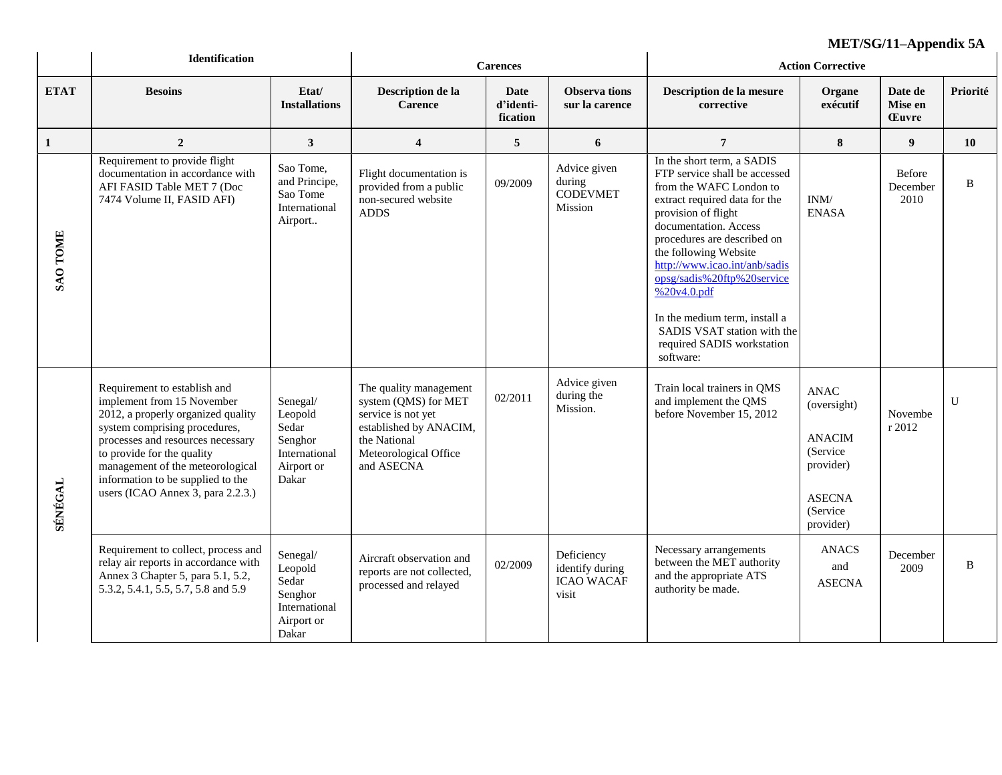|                 | <b>Identification</b>                                                                                                                                                                                                                                                                                              |                                                                                 |                                                                                                                                                       | <b>Carences</b>               |                                                             | $ML1/3U/11=AP$ penuix JA<br><b>Action Corrective</b>                                                                                                                                                                                                                                                                                                                                                                      |                                                                                                                 |                                    |              |  |
|-----------------|--------------------------------------------------------------------------------------------------------------------------------------------------------------------------------------------------------------------------------------------------------------------------------------------------------------------|---------------------------------------------------------------------------------|-------------------------------------------------------------------------------------------------------------------------------------------------------|-------------------------------|-------------------------------------------------------------|---------------------------------------------------------------------------------------------------------------------------------------------------------------------------------------------------------------------------------------------------------------------------------------------------------------------------------------------------------------------------------------------------------------------------|-----------------------------------------------------------------------------------------------------------------|------------------------------------|--------------|--|
| <b>ETAT</b>     | <b>Besoins</b>                                                                                                                                                                                                                                                                                                     | Etat/<br><b>Installations</b>                                                   | Description de la<br><b>Carence</b>                                                                                                                   | Date<br>d'identi-<br>fication | Observa tions<br>sur la carence                             | Description de la mesure<br>corrective                                                                                                                                                                                                                                                                                                                                                                                    | Organe<br>exécutif                                                                                              | Date de<br>Mise en<br><b>Euvre</b> | Priorité     |  |
| $\mathbf{1}$    | $\overline{2}$                                                                                                                                                                                                                                                                                                     | $\mathbf{3}$                                                                    | $\overline{\mathbf{4}}$                                                                                                                               | 5                             | 6                                                           | $\overline{7}$                                                                                                                                                                                                                                                                                                                                                                                                            | ${\bf 8}$                                                                                                       | 9                                  | 10           |  |
| <b>SAO TOME</b> | Requirement to provide flight<br>documentation in accordance with<br>AFI FASID Table MET 7 (Doc<br>7474 Volume II, FASID AFI)                                                                                                                                                                                      | Sao Tome,<br>and Principe,<br>Sao Tome<br>International<br>Airport              | Flight documentation is<br>provided from a public<br>non-secured website<br><b>ADDS</b>                                                               | 09/2009                       | Advice given<br>during<br><b>CODEVMET</b><br>Mission        | In the short term, a SADIS<br>FTP service shall be accessed<br>from the WAFC London to<br>extract required data for the<br>provision of flight<br>documentation. Access<br>procedures are described on<br>the following Website<br>http://www.icao.int/anb/sadis<br>opsg/sadis%20ftp%20service<br>% 20v4.0.pdf<br>In the medium term, install a<br>SADIS VSAT station with the<br>required SADIS workstation<br>software: | INM/<br><b>ENASA</b>                                                                                            | <b>Before</b><br>December<br>2010  | B            |  |
| SÉNÉGAL         | Requirement to establish and<br>implement from 15 November<br>2012, a properly organized quality<br>system comprising procedures,<br>processes and resources necessary<br>to provide for the quality<br>management of the meteorological<br>information to be supplied to the<br>users (ICAO Annex 3, para 2.2.3.) | Senegal/<br>Leopold<br>Sedar<br>Senghor<br>International<br>Airport or<br>Dakar | The quality management<br>system (QMS) for MET<br>service is not yet<br>established by ANACIM,<br>the National<br>Meteorological Office<br>and ASECNA | 02/2011                       | Advice given<br>during the<br>Mission.                      | Train local trainers in QMS<br>and implement the QMS<br>before November 15, 2012                                                                                                                                                                                                                                                                                                                                          | <b>ANAC</b><br>(oversight)<br><b>ANACIM</b><br>(Service<br>provider)<br><b>ASECNA</b><br>(Service)<br>provider) | Novembe<br>r 2012                  | $\mathbf{U}$ |  |
|                 | Requirement to collect, process and<br>relay air reports in accordance with<br>Annex 3 Chapter 5, para 5.1, 5.2,<br>5.3.2, 5.4.1, 5.5, 5.7, 5.8 and 5.9                                                                                                                                                            | Senegal/<br>Leopold<br>Sedar<br>Senghor<br>International<br>Airport or<br>Dakar | Aircraft observation and<br>reports are not collected,<br>processed and relayed                                                                       | 02/2009                       | Deficiency<br>identify during<br><b>ICAO WACAF</b><br>visit | Necessary arrangements<br>between the MET authority<br>and the appropriate ATS<br>authority be made.                                                                                                                                                                                                                                                                                                                      | <b>ANACS</b><br>and<br><b>ASECNA</b>                                                                            | December<br>2009                   | B            |  |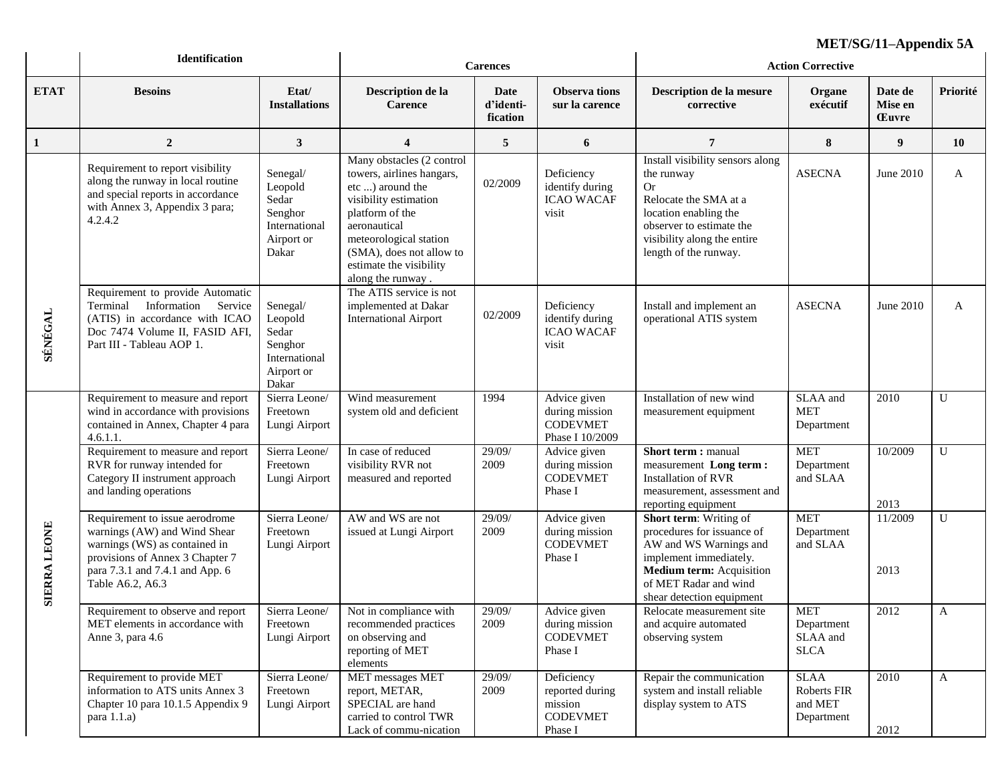|                               | Identification                                                                                                                                                                            | <b>Carences</b>                                                                 |                                                                                                                                                                                                                                              |                               | MEL/5G/11–Appendix 5A<br><b>Action Corrective</b>                      |                                                                                                                                                                                                   |                                                     |                                                                         |              |
|-------------------------------|-------------------------------------------------------------------------------------------------------------------------------------------------------------------------------------------|---------------------------------------------------------------------------------|----------------------------------------------------------------------------------------------------------------------------------------------------------------------------------------------------------------------------------------------|-------------------------------|------------------------------------------------------------------------|---------------------------------------------------------------------------------------------------------------------------------------------------------------------------------------------------|-----------------------------------------------------|-------------------------------------------------------------------------|--------------|
| <b>ETAT</b>                   | <b>Besoins</b>                                                                                                                                                                            | Etat/<br><b>Installations</b>                                                   | Description de la<br><b>Carence</b>                                                                                                                                                                                                          | Date<br>d'identi-<br>fication | <b>Observa</b> tions<br>sur la carence                                 | Description de la mesure<br>corrective                                                                                                                                                            | Organe<br>exécutif                                  | Date de<br>Mise en<br><b>Euvre</b>                                      | Priorité     |
| 1                             | $\overline{2}$                                                                                                                                                                            | $\mathbf{3}$                                                                    | $\boldsymbol{4}$                                                                                                                                                                                                                             | 5                             | 6                                                                      | 7                                                                                                                                                                                                 | 8                                                   | 9                                                                       | <b>10</b>    |
|                               | Requirement to report visibility<br>along the runway in local routine<br>and special reports in accordance<br>with Annex 3, Appendix 3 para;<br>4.2.4.2                                   | Senegal/<br>Leopold<br>Sedar<br>Senghor<br>International<br>Airport or<br>Dakar | Many obstacles (2 control<br>towers, airlines hangars,<br>etc ) around the<br>visibility estimation<br>platform of the<br>aeronautical<br>meteorological station<br>(SMA), does not allow to<br>estimate the visibility<br>along the runway. | 02/2009                       | Deficiency<br>identify during<br><b>ICAO WACAF</b><br>visit            | Install visibility sensors along<br>the runway<br>Or<br>Relocate the SMA at a<br>location enabling the<br>observer to estimate the<br>visibility along the entire<br>length of the runway.        | <b>ASECNA</b>                                       | June 2010                                                               | A            |
| SÉNÉGAL                       | Requirement to provide Automatic<br>Terminal Information Service<br>(ATIS) in accordance with ICAO<br>Doc 7474 Volume II, FASID AFI,<br>Part III - Tableau AOP 1.                         | Senegal/<br>Leopold<br>Sedar<br>Senghor<br>International<br>Airport or<br>Dakar | The ATIS service is not<br>implemented at Dakar<br><b>International Airport</b>                                                                                                                                                              | 02/2009                       | Deficiency<br>identify during<br><b>ICAO WACAF</b><br>visit            | Install and implement an<br>operational ATIS system                                                                                                                                               | <b>ASECNA</b>                                       | June 2010<br>2010<br>10/2009<br>2013<br>11/2009<br>2013<br>2012<br>2010 | A            |
|                               | Requirement to measure and report<br>wind in accordance with provisions<br>contained in Annex, Chapter 4 para<br>4.6.1.1.                                                                 | Sierra Leone/<br>Freetown<br>Lungi Airport                                      | Wind measurement<br>system old and deficient                                                                                                                                                                                                 | 1994                          | Advice given<br>during mission<br><b>CODEVMET</b><br>Phase I 10/2009   | Installation of new wind<br>measurement equipment                                                                                                                                                 | SLAA and<br><b>MET</b><br>Department                |                                                                         | U            |
|                               | Requirement to measure and report<br>RVR for runway intended for<br>Category II instrument approach<br>and landing operations                                                             | Sierra Leone/<br>Freetown<br>Lungi Airport                                      | In case of reduced<br>visibility RVR not<br>measured and reported                                                                                                                                                                            | 29/09/<br>2009                | Advice given<br>during mission<br><b>CODEVMET</b><br>Phase I           | Short term: manual<br>measurement Long term:<br><b>Installation of RVR</b><br>measurement, assessment and<br>reporting equipment                                                                  | <b>MET</b><br>Department<br>and SLAA                |                                                                         | U            |
| <b>LEONE</b><br><b>SIERRA</b> | Requirement to issue aerodrome<br>warnings (AW) and Wind Shear<br>warnings (WS) as contained in<br>provisions of Annex 3 Chapter 7<br>para 7.3.1 and 7.4.1 and App. 6<br>Table A6.2, A6.3 | Sierra Leone/<br>Freetown<br>Lungi Airport                                      | AW and WS are not<br>issued at Lungi Airport                                                                                                                                                                                                 | 29/09/<br>2009                | Advice given<br>during mission<br><b>CODEVMET</b><br>Phase I           | <b>Short term:</b> Writing of<br>procedures for issuance of<br>AW and WS Warnings and<br>implement immediately.<br>Medium term: Acquisition<br>of MET Radar and wind<br>shear detection equipment | <b>MET</b><br>Department<br>and SLAA                |                                                                         | U            |
|                               | Requirement to observe and report Sierra Leone/ Not in compliance with<br>MET elements in accordance with<br>Anne 3, para 4.6                                                             | Freetown<br>Lungi Airport                                                       | recommended practices<br>on observing and<br>reporting of MET<br>elements                                                                                                                                                                    | 29/09/<br>2009                | Advice given<br>during mission<br><b>CODEVMET</b><br>Phase I           | Relocate measurement site<br>and acquire automated<br>observing system                                                                                                                            | <b>MET</b><br>Department<br>SLAA and<br><b>SLCA</b> |                                                                         | A            |
|                               | Requirement to provide MET<br>information to ATS units Annex 3<br>Chapter 10 para 10.1.5 Appendix 9<br>para $1.1.a)$                                                                      | Sierra Leone/<br>Freetown<br>Lungi Airport                                      | MET messages MET<br>report, METAR,<br>SPECIAL are hand<br>carried to control TWR<br>Lack of commu-nication                                                                                                                                   | 29/09/<br>2009                | Deficiency<br>reported during<br>mission<br><b>CODEVMET</b><br>Phase I | Repair the communication<br>system and install reliable<br>display system to ATS                                                                                                                  | <b>SLAA</b><br>Roberts FIR<br>and MET<br>Department | 2012                                                                    | $\mathbf{A}$ |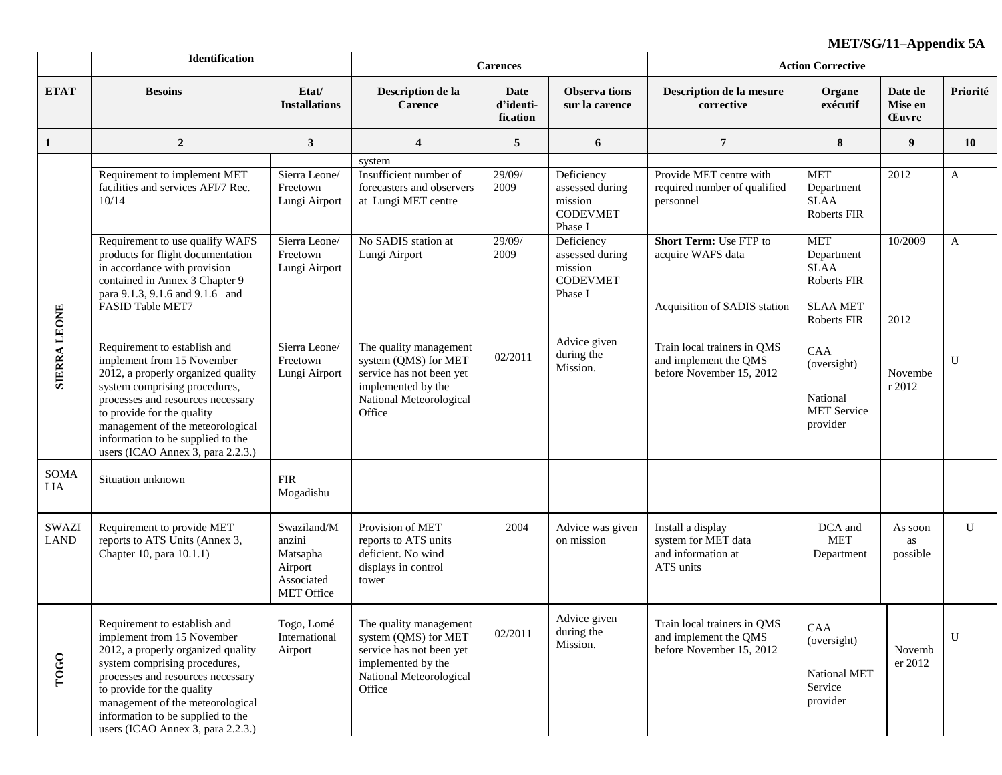|                             | <b>Identification</b>                                                                                                                                                                                                                                                                                              | <b>Carences</b>                                                                 |                                                                                                                                       |                                      | MEL/SG/11–Appendix 5A<br><b>Action Corrective</b>                      |                                                                                    |                                                                                          |                                    |              |
|-----------------------------|--------------------------------------------------------------------------------------------------------------------------------------------------------------------------------------------------------------------------------------------------------------------------------------------------------------------|---------------------------------------------------------------------------------|---------------------------------------------------------------------------------------------------------------------------------------|--------------------------------------|------------------------------------------------------------------------|------------------------------------------------------------------------------------|------------------------------------------------------------------------------------------|------------------------------------|--------------|
| <b>ETAT</b>                 | <b>Besoins</b>                                                                                                                                                                                                                                                                                                     | Etat/<br><b>Installations</b>                                                   | Description de la<br><b>Carence</b>                                                                                                   | <b>Date</b><br>d'identi-<br>fication | <b>Observa tions</b><br>sur la carence                                 | Description de la mesure<br>corrective                                             | Organe<br>exécutif                                                                       | Date de<br>Mise en<br><b>Euvre</b> | Priorité     |
| 1                           | $\overline{2}$                                                                                                                                                                                                                                                                                                     | $\mathbf{3}$                                                                    | $\overline{\mathbf{4}}$                                                                                                               | 5                                    | 6                                                                      | $7\phantom{.0}$                                                                    | 8                                                                                        | 9                                  | <b>10</b>    |
| <b>SIERRA LEONE</b>         | Requirement to implement MET<br>facilities and services AFI/7 Rec.<br>10/14                                                                                                                                                                                                                                        | Sierra Leone/<br>Freetown<br>Lungi Airport                                      | system<br>Insufficient number of<br>forecasters and observers<br>at Lungi MET centre                                                  | 29/09/<br>2009                       | Deficiency<br>assessed during<br>mission<br><b>CODEVMET</b><br>Phase I | Provide MET centre with<br>required number of qualified<br>personnel               | <b>MET</b><br>Department<br><b>SLAA</b><br>Roberts FIR                                   | 2012                               | A            |
|                             | Requirement to use qualify WAFS<br>products for flight documentation<br>in accordance with provision<br>contained in Annex 3 Chapter 9<br>para 9.1.3, 9.1.6 and 9.1.6 and<br>FASID Table MET7                                                                                                                      | Sierra Leone/<br>Freetown<br>Lungi Airport                                      | No SADIS station at<br>Lungi Airport                                                                                                  | 29/09/<br>2009                       | Deficiency<br>assessed during<br>mission<br><b>CODEVMET</b><br>Phase I | <b>Short Term: Use FTP to</b><br>acquire WAFS data<br>Acquisition of SADIS station | <b>MET</b><br>Department<br><b>SLAA</b><br>Roberts FIR<br><b>SLAA MET</b><br>Roberts FIR | 10/2009<br>2012                    | A            |
|                             | Requirement to establish and<br>implement from 15 November<br>2012, a properly organized quality<br>system comprising procedures,<br>processes and resources necessary<br>to provide for the quality<br>management of the meteorological<br>information to be supplied to the<br>users (ICAO Annex 3, para 2.2.3.) | Sierra Leone/<br>Freetown<br>Lungi Airport                                      | The quality management<br>system (QMS) for MET<br>service has not been yet<br>implemented by the<br>National Meteorological<br>Office | 02/2011                              | Advice given<br>during the<br>Mission.                                 | Train local trainers in QMS<br>and implement the QMS<br>before November 15, 2012   | <b>CAA</b><br>(oversight)<br>National<br><b>MET Service</b><br>provider                  | Novembe<br>r 2012                  | $\mathbf{U}$ |
| SOMA<br><b>LIA</b>          | Situation unknown                                                                                                                                                                                                                                                                                                  | <b>FIR</b><br>Mogadishu                                                         |                                                                                                                                       |                                      |                                                                        |                                                                                    |                                                                                          |                                    |              |
| <b>SWAZI</b><br><b>LAND</b> | Requirement to provide MET<br>reports to ATS Units (Annex 3,<br>Chapter 10, para 10.1.1)                                                                                                                                                                                                                           | Swaziland/M<br>anzini<br>Matsapha<br>Airport<br>Associated<br><b>MET Office</b> | Provision of MET<br>reports to ATS units<br>deficient. No wind<br>displays in control<br>tower                                        | 2004                                 | Advice was given<br>on mission                                         | Install a display<br>system for MET data<br>and information at<br>ATS units        | DCA and<br><b>MET</b><br>Department                                                      | As soon<br>as<br>possible          | U            |
| TOGO                        | Requirement to establish and<br>implement from 15 November<br>2012, a properly organized quality<br>system comprising procedures,<br>processes and resources necessary<br>to provide for the quality<br>management of the meteorological<br>information to be supplied to the<br>users (ICAO Annex 3, para 2.2.3.) | Togo, Lomé<br>International<br>Airport                                          | The quality management<br>system (QMS) for MET<br>service has not been yet<br>implemented by the<br>National Meteorological<br>Office | 02/2011                              | Advice given<br>during the<br>Mission.                                 | Train local trainers in QMS<br>and implement the QMS<br>before November 15, 2012   | CAA<br>(oversight)<br>National MET<br>Service<br>provider                                | Novemb<br>er 2012                  | U            |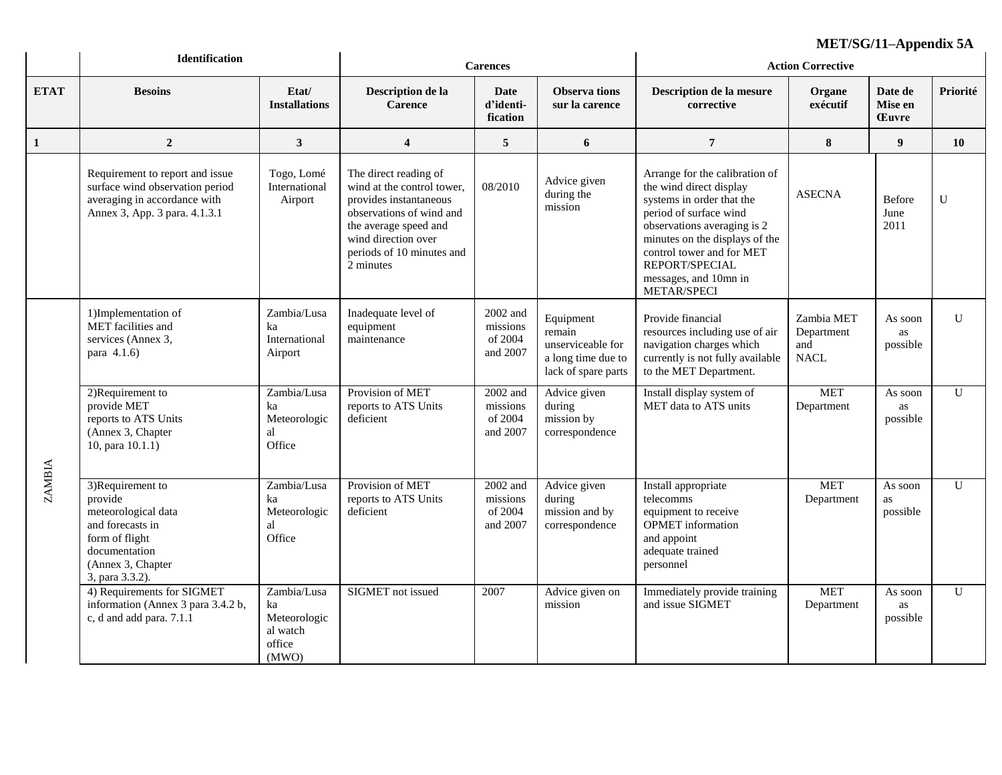|               | <b>Identification</b>                                                                                                                             |                                                                  | <b>Carences</b>                                                                                                                                                                                     |                                             |                                                                                       | MET/SG/11–Appendix 5A<br><b>Action Corrective</b>                                                                                                                                                                                                                        |                                                |                                    |              |
|---------------|---------------------------------------------------------------------------------------------------------------------------------------------------|------------------------------------------------------------------|-----------------------------------------------------------------------------------------------------------------------------------------------------------------------------------------------------|---------------------------------------------|---------------------------------------------------------------------------------------|--------------------------------------------------------------------------------------------------------------------------------------------------------------------------------------------------------------------------------------------------------------------------|------------------------------------------------|------------------------------------|--------------|
| <b>ETAT</b>   | <b>Besoins</b>                                                                                                                                    | Etat/<br><b>Installations</b>                                    | Description de la<br>Carence                                                                                                                                                                        | Date<br>d'identi-<br>fication               | <b>Observa</b> tions<br>sur la carence                                                | Description de la mesure<br>corrective                                                                                                                                                                                                                                   | Organe<br>exécutif                             | Date de<br>Mise en<br><b>Euvre</b> | Priorité     |
| 1             | $\boldsymbol{2}$                                                                                                                                  | $\mathbf{3}$                                                     | $\overline{\mathbf{4}}$                                                                                                                                                                             | $\sqrt{5}$                                  | 6                                                                                     | $\overline{7}$                                                                                                                                                                                                                                                           | $\bf 8$                                        | $\boldsymbol{9}$                   | 10           |
|               | Requirement to report and issue<br>surface wind observation period<br>averaging in accordance with<br>Annex 3, App. 3 para. 4.1.3.1               | Togo, Lomé<br>International<br>Airport                           | The direct reading of<br>wind at the control tower,<br>provides instantaneous<br>observations of wind and<br>the average speed and<br>wind direction over<br>periods of 10 minutes and<br>2 minutes | 08/2010                                     | Advice given<br>during the<br>mission                                                 | Arrange for the calibration of<br>the wind direct display<br>systems in order that the<br>period of surface wind<br>observations averaging is 2<br>minutes on the displays of the<br>control tower and for MET<br>REPORT/SPECIAL<br>messages, and 10mn in<br>METAR/SPECI | <b>ASECNA</b>                                  | Before<br>June<br>2011             | $\mathbf U$  |
|               | 1)Implementation of<br>MET facilities and<br>services (Annex 3,<br>para 4.1.6)                                                                    | Zambia/Lusa<br>ka<br>International<br>Airport                    | Inadequate level of<br>equipment<br>maintenance                                                                                                                                                     | 2002 and<br>missions<br>of 2004<br>and 2007 | Equipment<br>remain<br>unserviceable for<br>a long time due to<br>lack of spare parts | Provide financial<br>resources including use of air<br>navigation charges which<br>currently is not fully available<br>to the MET Department.                                                                                                                            | Zambia MET<br>Department<br>and<br><b>NACL</b> | As soon<br>as<br>possible          | $\mathbf{U}$ |
|               | 2)Requirement to<br>provide MET<br>reports to ATS Units<br>(Annex 3, Chapter<br>10, para $10.1.1)$                                                | Zambia/Lusa<br>ka<br>Meteorologic<br>al<br>Office                | Provision of MET<br>reports to ATS Units<br>deficient                                                                                                                                               | 2002 and<br>missions<br>of 2004<br>and 2007 | Advice given<br>during<br>mission by<br>correspondence                                | Install display system of<br>MET data to ATS units                                                                                                                                                                                                                       | <b>MET</b><br>Department                       | As soon<br>as<br>possible          | U            |
| <b>ZAMBIA</b> | 3)Requirement to<br>provide<br>meteorological data<br>and forecasts in<br>form of flight<br>documentation<br>(Annex 3, Chapter<br>3, para 3.3.2). | Zambia/Lusa<br>ka<br>Meteorologic<br>al<br>Office                | Provision of MET<br>reports to ATS Units<br>deficient                                                                                                                                               | 2002 and<br>missions<br>of 2004<br>and 2007 | Advice given<br>during<br>mission and by<br>correspondence                            | Install appropriate<br>telecomms<br>equipment to receive<br><b>OPMET</b> information<br>and appoint<br>adequate trained<br>personnel                                                                                                                                     | <b>MET</b><br>Department                       | As soon<br>as<br>possible          | $\mathbf{U}$ |
|               | 4) Requirements for SIGMET<br>information (Annex 3 para 3.4.2 b,<br>c, d and add para. 7.1.1                                                      | Zambia/Lusa<br>ka<br>Meteorologic<br>al watch<br>office<br>(MWO) | SIGMET not issued                                                                                                                                                                                   | 2007                                        | Advice given on<br>mission                                                            | Immediately provide training<br>and issue SIGMET                                                                                                                                                                                                                         | <b>MET</b><br>Department                       | As soon<br>as<br>possible          | $\mathbf{U}$ |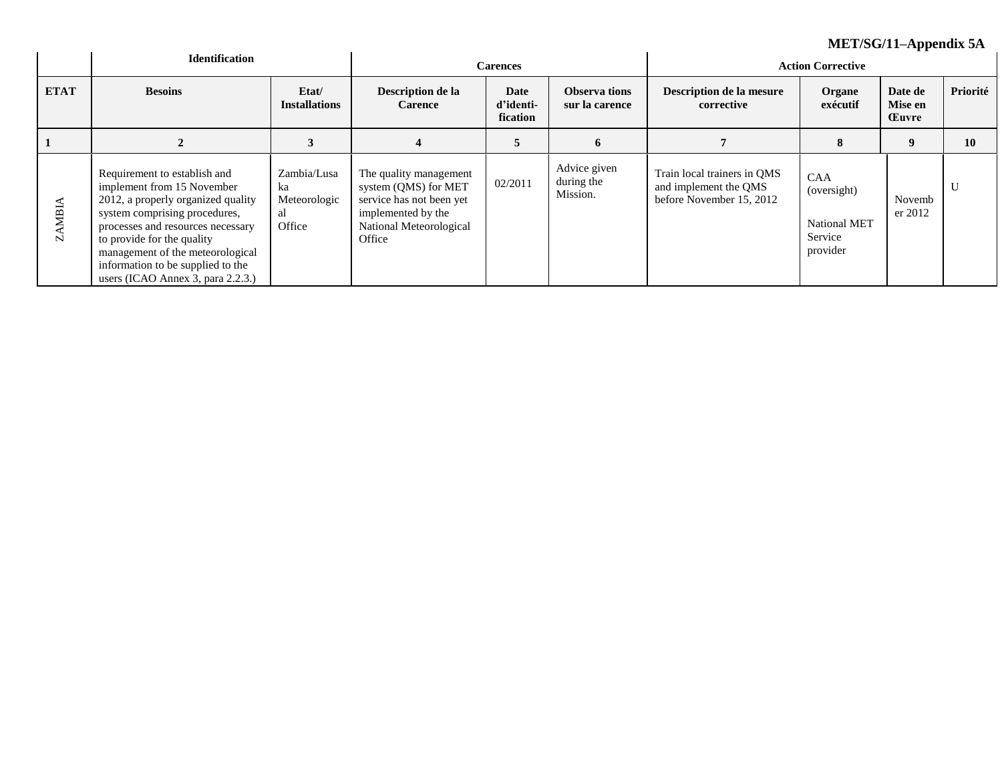|                   |                                                                                                                                                                                                                                                                                                                    |                                                   |                                                                                                                                       |                               |                                        | ML1/5G/11–ADPEHUIX 5A                                                            |                                                                  |                                    |          |
|-------------------|--------------------------------------------------------------------------------------------------------------------------------------------------------------------------------------------------------------------------------------------------------------------------------------------------------------------|---------------------------------------------------|---------------------------------------------------------------------------------------------------------------------------------------|-------------------------------|----------------------------------------|----------------------------------------------------------------------------------|------------------------------------------------------------------|------------------------------------|----------|
|                   | <b>Identification</b>                                                                                                                                                                                                                                                                                              | <b>Carences</b>                                   |                                                                                                                                       |                               | <b>Action Corrective</b>               |                                                                                  |                                                                  |                                    |          |
| <b>ETAT</b>       | <b>Besoins</b>                                                                                                                                                                                                                                                                                                     | Etat/<br><b>Installations</b>                     | Description de la<br><b>Carence</b>                                                                                                   | Date<br>d'identi-<br>fication | <b>Observa tions</b><br>sur la carence | Description de la mesure<br>corrective                                           | Organe<br>exécutif                                               | Date de<br>Mise en<br><b>Euvre</b> | Priorité |
|                   |                                                                                                                                                                                                                                                                                                                    | 3                                                 |                                                                                                                                       | 5                             | 6                                      |                                                                                  | 8                                                                | $\boldsymbol{9}$                   | 10       |
| <b>AMBIA</b><br>N | Requirement to establish and<br>implement from 15 November<br>2012, a properly organized quality<br>system comprising procedures,<br>processes and resources necessary<br>to provide for the quality<br>management of the meteorological<br>information to be supplied to the<br>users (ICAO Annex 3, para 2.2.3.) | Zambia/Lusa<br>ka<br>Meteorologic<br>al<br>Office | The quality management<br>system (QMS) for MET<br>service has not been yet<br>implemented by the<br>National Meteorological<br>Office | 02/2011                       | Advice given<br>during the<br>Mission. | Train local trainers in QMS<br>and implement the QMS<br>before November 15, 2012 | <b>CAA</b><br>(oversight)<br>National MET<br>Service<br>provider | Novemb<br>er 2012                  | U        |